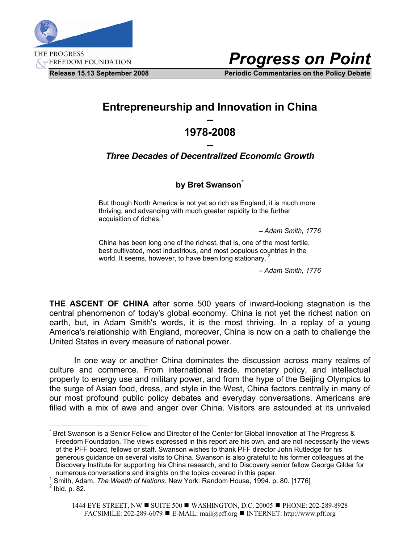

*Progress on Point*

**Release 15.13 September 2008 Periodic Commentaries on the Policy Debate** 

## **Entrepreneurship and Innovation in China**

## **– 1978-2008**

## **–**  *Three Decades of Decentralized Economic Growth*

## **by Bret Swanson[\\*](#page-0-0)**

But though North America is not yet so rich as England, it is much more thriving, and advancing with much greater rapidity to the further acquisition of riches.<sup>[1](#page-0-1)</sup>

**–** *Adam Smith, 1776*

China has been long one of the richest, that is, one of the most fertile, best cultivated, most industrious, and most populous countries in the world. It seems, however, to have been long stationary.<sup>[2](#page-0-2)</sup>

**–** *Adam Smith, 1776*

**THE ASCENT OF CHINA** after some 500 years of inward-looking stagnation is the central phenomenon of today's global economy. China is not yet the richest nation on earth, but, in Adam Smith's words, it is the most thriving. In a replay of a young America's relationship with England, moreover, China is now on a path to challenge the United States in every measure of national power.

 In one way or another China dominates the discussion across many realms of culture and commerce. From international trade, monetary policy, and intellectual property to energy use and military power, and from the hype of the Beijing Olympics to the surge of Asian food, dress, and style in the West, China factors centrally in many of our most profound public policy debates and everyday conversations. Americans are filled with a mix of awe and anger over China. Visitors are astounded at its unrivaled

 $\overline{a}$ 

<span id="page-0-0"></span><sup>\*</sup> Bret Swanson is a Senior Fellow and Director of the Center for Global Innovation at The Progress & Freedom Foundation. The views expressed in this report are his own, and are not necessarily the views of the PFF board, fellows or staff. Swanson wishes to thank PFF director John Rutledge for his generous guidance on several visits to China. Swanson is also grateful to his former colleagues at the Discovery Institute for supporting his China research, and to Discovery senior fellow George Gilder for numerous conversations and insights on the topics covered in this paper. 1

<sup>&</sup>lt;sup>1</sup> Smith, Adam. *The Wealth of Nations*. New York: Random House, 1994. p. 80. [1776]

<span id="page-0-2"></span><span id="page-0-1"></span> $2$  Ibid. p. 82.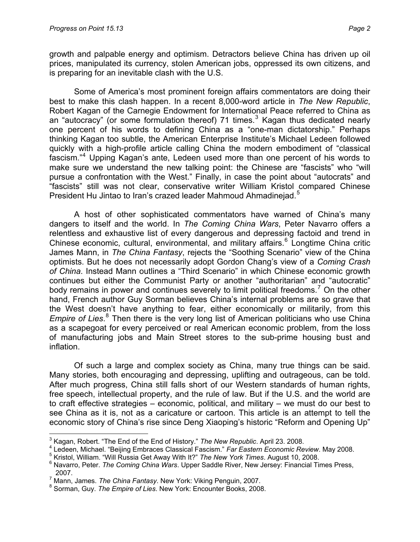growth and palpable energy and optimism. Detractors believe China has driven up oil prices, manipulated its currency, stolen American jobs, oppressed its own citizens, and is preparing for an inevitable clash with the U.S.

 Some of America's most prominent foreign affairs commentators are doing their best to make this clash happen. In a recent 8,000-word article in *The New Republic*, Robert Kagan of the Carnegie Endowment for International Peace referred to China as an "autocracy" (or some formulation thereof) 71 times. $3$  Kagan thus dedicated nearly one percent of his words to defining China as a "one-man dictatorship." Perhaps thinking Kagan too subtle, the American Enterprise Institute's Michael Ledeen followed quickly with a high-profile article calling China the modern embodiment of "classical fascism."[4](#page-1-1) Upping Kagan's ante, Ledeen used more than one percent of his words to make sure we understand the new talking point: the Chinese are "fascists" who "will pursue a confrontation with the West." Finally, in case the point about "autocrats" and "fascists" still was not clear, conservative writer William Kristol compared Chinese President Hu Jintao to Iran's crazed leader Mahmoud Ahmadinejad.<sup>[5](#page-1-2)</sup>

 A host of other sophisticated commentators have warned of China's many dangers to itself and the world. In *The Coming China Wars*, Peter Navarro offers a relentless and exhaustive list of every dangerous and depressing factoid and trend in Chinese economic, cultural, environmental, and military affairs.<sup>[6](#page-1-3)</sup> Longtime China critic James Mann, in *The China Fantasy*, rejects the "Soothing Scenario" view of the China optimists. But he does not necessarily adopt Gordon Chang's view of a *Coming Crash of China*. Instead Mann outlines a "Third Scenario" in which Chinese economic growth continues but either the Communist Party or another "authoritarian" and "autocratic" body remains in power and continues severely to limit political freedoms.<sup>[7](#page-1-4)</sup> On the other hand, French author Guy Sorman believes China's internal problems are so grave that the West doesn't have anything to fear, either economically or militarily, from this Empire of Lies.<sup>[8](#page-1-5)</sup> Then there is the very long list of American politicians who use China as a scapegoat for every perceived or real American economic problem, from the loss of manufacturing jobs and Main Street stores to the sub-prime housing bust and inflation.

 Of such a large and complex society as China, many true things can be said. Many stories, both encouraging and depressing, uplifting and outrageous, can be told. After much progress, China still falls short of our Western standards of human rights, free speech, intellectual property, and the rule of law. But if the U.S. and the world are to craft effective strategies – economic, political, and military – we must do our best to see China as it is, not as a caricature or cartoon. This article is an attempt to tell the economic story of China's rise since Deng Xiaoping's historic "Reform and Opening Up"

 3 Kagan, Robert. "The End of the End of History." *The New Republic*. April 23. 2008. 4

<span id="page-1-1"></span><span id="page-1-0"></span>Ledeen, Michael. "Beijing Embraces Classical Fascism." *Far Eastern Economic Review*. May 2008. 5

<span id="page-1-2"></span><sup>&</sup>lt;sup>5</sup> Kristol, William. "Will Russia Get Away With It?" The New York Times. August 10, 2008.

<span id="page-1-3"></span><sup>&</sup>lt;sup>6</sup> Navarro, Peter. *The Coming China Wars*. Upper Saddle River, New Jersey: Financial Times Press, 2007.

<sup>&</sup>lt;sup>7</sup> Mann, James. *The China Fantasy*. New York: Viking Penguin, 2007.<br><sup>8</sup> Serman, Cuy, The Empire of Lise, New York: Engeunter Beeke, 2009

<span id="page-1-5"></span><span id="page-1-4"></span><sup>&</sup>lt;sup>8</sup> Sorman, Guy. *The Empire of Lies*. New York: Encounter Books, 2008.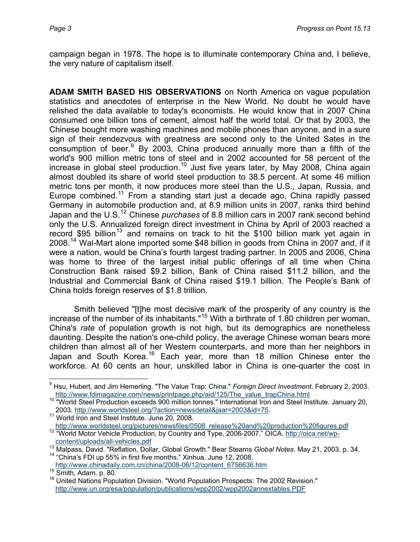campaign began in 1978. The hope is to illuminate contemporary China and, I believe, the very nature of capitalism itself.

**ADAM SMITH BASED HIS OBSERVATIONS** on North America on vague population statistics and anecdotes of enterprise in the New World. No doubt he would have relished the data available to today's economists. He would know that in 2007 China consumed one billion tons of cement, almost half the world total. Or that by 2003, the Chinese bought more washing machines and mobile phones than anyone, and in a sure sign of their rendezvous with greatness are second only to the United Sates in the consumption of beer.<sup>[9](#page-2-0)</sup> By 2003, China produced annually more than a fifth of the world's 900 million metric tons of steel and in 2002 accounted for 58 percent of the increase in global steel production.<sup>[10](#page-2-1)</sup> Just five years later, by May 2008, China again almost doubled its share of world steel production to 38.5 percent. At some 46 million metric tons per month, it now produces more steel than the U.S., Japan, Russia, and Europe combined.<sup>[11](#page-2-2)</sup> From a standing start just a decade ago, China rapidly passed Germany in automobile production and, at 8.9 million units in 2007, ranks third behind Japan and the U.S.[12](#page-2-3) Chinese *purchases* of 8.8 million cars in 2007 rank second behind only the U.S. Annualized foreign direct investment in China by April of 2003 reached a record \$95 billion<sup>[13](#page-2-4)</sup> and remains on track to hit the \$100 billion mark yet again in 2008.<sup>[14](#page-2-5)</sup> Wal-Mart alone imported some \$48 billion in goods from China in 2007 and, if it were a nation, would be China's fourth largest trading partner. In 2005 and 2006, China was home to three of the largest initial public offerings of all time when China Construction Bank raised \$9.2 billion, Bank of China raised \$11.2 billion, and the Industrial and Commercial Bank of China raised \$19.1 billion. The People's Bank of China holds foreign reserves of \$1.8 trillion.

Smith believed "[t]he most decisive mark of the prosperity of any country is the increase of the number of its inhabitants."[15](#page-2-6) With a birthrate of 1.80 children per woman, China's *rate* of population growth is not high, but its demographics are nonetheless daunting. Despite the nation's one-child policy, the average Chinese woman bears more children than almost all of her Western counterparts, and more than her neighbors in Japan and South Korea.<sup>[16](#page-2-7)</sup> Each year, more than 18 million Chinese enter the workforce. At 60 cents an hour, unskilled labor in China is one-quarter the cost in

 $\overline{a}$ 

<span id="page-2-0"></span><sup>9</sup> Hsu, Hubert, and Jim Hemerling. "The Value Trap: China." *Foreign Direct Investment*. February 2, 2003. [http://www.fdimagazine.com/news/printpage.php/aid/125/The\\_value\\_trapChina.html](http://www.fdimagazine.com/news/printpage.php/aid/125/The_value_trapChina.html)<br><sup>10</sup> "World Steel Production exceeds 900 million tonnes." International Iron and Steel Institute. January 20,

<span id="page-2-2"></span><span id="page-2-1"></span><sup>2003.</sup> [http://www.worldsteel.org/?action=newsdetail&jaar=2003&id=75.](http://www.worldsteel.org/?action=newsdetail&jaar=2003&id=75)<br><sup>11</sup> World Iron and Steel Institute. June 20, 2008.<br>http://www.worldsteel.org/pictures/newsfiles/0508 release%20and%20production%20figures.pdf <sup>12 "</sup>World Motor Vehicle Production, by Country and Type, 2006-2007." OICA. http://oica.net/wp-<br>content/uploads/all-vehicles.pdf

<span id="page-2-3"></span>

<span id="page-2-4"></span><sup>&</sup>lt;sup>13</sup> Malpass, David. "Reflation, Dollar, Global Growth." Bear Stearns *Global Notes*. May 21, 2003. p. 34. <sup>14</sup> "China's FDI up 55% in first five months." Xinhua. June 12, 2008.

<span id="page-2-7"></span><span id="page-2-6"></span>

<span id="page-2-5"></span>[http://www.chinadaily.com.cn/china/2008-06/12/content\\_6756636.htm](http://www.chinadaily.com.cn/china/2008-06/12/content_6756636.htm)<br><sup>15</sup> Smith, Adam. p. 80. 16 United Nations Population Division. "World Population Prospects: The 2002 Revision." <http://www.un.org/esa/population/publications/wpp2002/wpp2002annextables.PDF>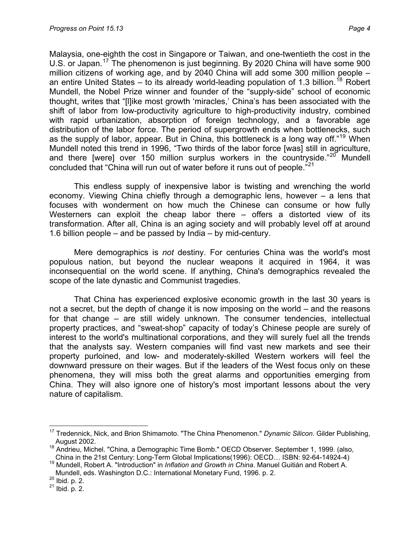Malaysia, one-eighth the cost in Singapore or Taiwan, and one-twentieth the cost in the U.S. or Japan.[17](#page-3-0) The phenomenon is just beginning. By 2020 China will have some 900 million citizens of working age, and by 2040 China will add some 300 million people – an entire United States – to its already world-leading population of 1.3 billion.<sup>[18](#page-3-1)</sup> Robert Mundell, the Nobel Prize winner and founder of the "supply-side" school of economic thought, writes that "[l]ike most growth 'miracles,' China's has been associated with the shift of labor from low-productivity agriculture to high-productivity industry, combined with rapid urbanization, absorption of foreign technology, and a favorable age distribution of the labor force. The period of supergrowth ends when bottlenecks, such as the supply of labor, appear. But in China, this bottleneck is a long way off."<sup>[19](#page-3-2)</sup> When Mundell noted this trend in 1996, "Two thirds of the labor force [was] still in agriculture, and there [were] over 150 million surplus workers in the countryside." $20^{\circ}$  $20^{\circ}$  Mundell concluded that "China will run out of water before it runs out of people."<sup>[21](#page-3-4)</sup>

This endless supply of inexpensive labor is twisting and wrenching the world economy. Viewing China chiefly through a demographic lens, however – a lens that focuses with wonderment on how much the Chinese can consume or how fully Westerners can exploit the cheap labor there – offers a distorted view of its transformation. After all, China is an aging society and will probably level off at around 1.6 billion people – and be passed by India – by mid-century.

Mere demographics is *not* destiny. For centuries China was the world's most populous nation, but beyond the nuclear weapons it acquired in 1964, it was inconsequential on the world scene. If anything, China's demographics revealed the scope of the late dynastic and Communist tragedies.

That China has experienced explosive economic growth in the last 30 years is not a secret, but the depth of change it is now imposing on the world – and the reasons for that change – are still widely unknown. The consumer tendencies, intellectual property practices, and "sweat-shop" capacity of today's Chinese people are surely of interest to the world's multinational corporations, and they will surely fuel all the trends that the analysts say. Western companies will find vast new markets and see their property purloined, and low- and moderately-skilled Western workers will feel the downward pressure on their wages. But if the leaders of the West focus only on these phenomena, they will miss both the great alarms and opportunities emerging from China. They will also ignore one of history's most important lessons about the very nature of capitalism.

 $\overline{a}$ 

<sup>17</sup> Tredennick, Nick, and Brion Shimamoto. "The China Phenomenon." *Dynamic Silicon*. Gilder Publishing,

<span id="page-3-1"></span><span id="page-3-0"></span>August 2002.<br><sup>18</sup> Andrieu, Michel. "China, a Demographic Time Bomb." OECD Observer. September 1, 1999. (also,<br>China in the 21st Century: Long-Term Global Implications(1996): OECD... ISBN: 92-64-14924-4)

China in the 21st Century: Long-Term Global Implications(1996): OECD… ISBN: 92-64-14924-4) 19 Mundell, Robert A. "Introduction" in *Inflation and Growth in China*. Manuel Guitián and Robert A.

<span id="page-3-3"></span><span id="page-3-2"></span>Mundell, eds. Washington D.C.: International Monetary Fund, 1996. p. 2.<br><sup>20</sup> Ibid. p. 2.<br><sup>21</sup> Ibid. p. 2.

<span id="page-3-4"></span>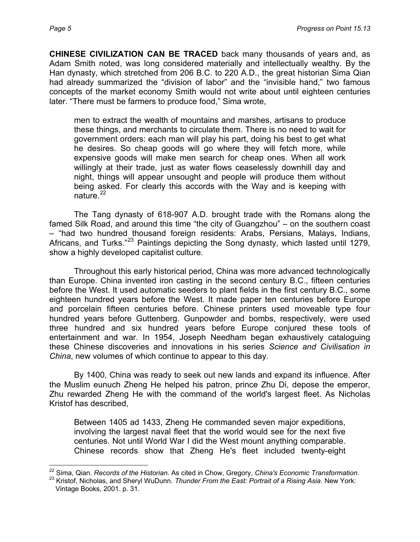**CHINESE CIVILIZATION CAN BE TRACED** back many thousands of years and, as Adam Smith noted, was long considered materially and intellectually wealthy. By the Han dynasty, which stretched from 206 B.C. to 220 A.D., the great historian Sima Qian had already summarized the "division of labor" and the "invisible hand," two famous concepts of the market economy Smith would not write about until eighteen centuries later. "There must be farmers to produce food," Sima wrote,

men to extract the wealth of mountains and marshes, artisans to produce these things, and merchants to circulate them. There is no need to wait for government orders: each man will play his part, doing his best to get what he desires. So cheap goods will go where they will fetch more, while expensive goods will make men search for cheap ones. When all work willingly at their trade, just as water flows ceaselessly downhill day and night, things will appear unsought and people will produce them without being asked. For clearly this accords with the Way and is keeping with nature. $^{22}$  $^{22}$  $^{22}$ 

The Tang dynasty of 618-907 A.D. brought trade with the Romans along the famed Silk Road, and around this time "the city of Guangzhou" – on the southern coast – "had two hundred thousand foreign residents: Arabs, Persians, Malays, Indians, Africans, and Turks."[23](#page-4-1) Paintings depicting the Song dynasty, which lasted until 1279, show a highly developed capitalist culture.

Throughout this early historical period, China was more advanced technologically than Europe. China invented iron casting in the second century B.C., fifteen centuries before the West. It used automatic seeders to plant fields in the first century B.C., some eighteen hundred years before the West. It made paper ten centuries before Europe and porcelain fifteen centuries before. Chinese printers used moveable type four hundred years before Guttenberg. Gunpowder and bombs, respectively, were used three hundred and six hundred years before Europe conjured these tools of entertainment and war. In 1954, Joseph Needham began exhaustively cataloguing these Chinese discoveries and innovations in his series *Science and Civilisation in China*, new volumes of which continue to appear to this day.

By 1400, China was ready to seek out new lands and expand its influence. After the Muslim eunuch Zheng He helped his patron, prince Zhu Di, depose the emperor, Zhu rewarded Zheng He with the command of the world's largest fleet. As Nicholas Kristof has described,

Between 1405 ad 1433, Zheng He commanded seven major expeditions, involving the largest naval fleet that the world would see for the next five centuries. Not until World War I did the West mount anything comparable. Chinese records show that Zheng He's fleet included twenty-eight

<span id="page-4-0"></span> $\overline{a}$ <sup>22</sup> Sima, Qian. *Records of the Historian*. As cited in Chow, Gregory, *China's Economic Transformation*.<br><sup>23</sup> Kristof, Nicholas, and Sheryl WuDunn. *Thunder From the East: Portrait of a Rising Asia*. New York:

<span id="page-4-1"></span>Vintage Books, 2001. p. 31.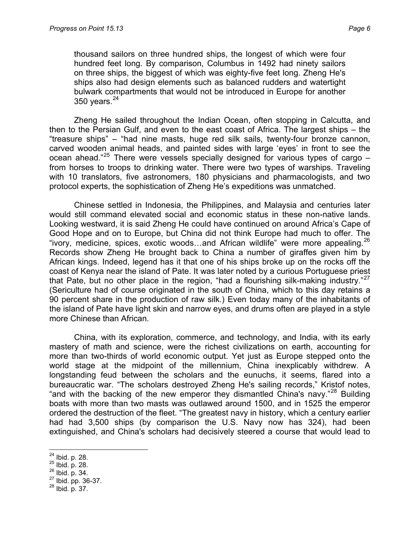thousand sailors on three hundred ships, the longest of which were four hundred feet long. By comparison, Columbus in 1492 had ninety sailors on three ships, the biggest of which was eighty-five feet long. Zheng He's ships also had design elements such as balanced rudders and watertight bulwark compartments that would not be introduced in Europe for another 350 years. $24$ 

Zheng He sailed throughout the Indian Ocean, often stopping in Calcutta, and then to the Persian Gulf, and even to the east coast of Africa. The largest ships – the "treasure ships" – "had nine masts, huge red silk sails, twenty-four bronze cannon, carved wooden animal heads, and painted sides with large 'eyes' in front to see the ocean ahead."<sup>[25](#page-5-1)</sup> There were vessels specially designed for various types of cargo  $$ from horses to troops to drinking water. There were two types of warships. Traveling with 10 translators, five astronomers, 180 physicians and pharmacologists, and two protocol experts, the sophistication of Zheng He's expeditions was unmatched.

Chinese settled in Indonesia, the Philippines, and Malaysia and centuries later would still command elevated social and economic status in these non-native lands. Looking westward, it is said Zheng He could have continued on around Africa's Cape of Good Hope and on to Europe, but China did not think Europe had much to offer. The "ivory, medicine, spices, exotic woods…and African wildlife" were more appealing.[26](#page-5-2) Records show Zheng He brought back to China a number of giraffes given him by African kings. Indeed, legend has it that one of his ships broke up on the rocks off the coast of Kenya near the island of Pate. It was later noted by a curious Portuguese priest that Pate, but no other place in the region, "had a flourishing silk-making industry."<sup>[27](#page-5-3)</sup> (Sericulture had of course originated in the south of China, which to this day retains a 90 percent share in the production of raw silk.) Even today many of the inhabitants of the island of Pate have light skin and narrow eyes, and drums often are played in a style more Chinese than African.

China, with its exploration, commerce, and technology, and India, with its early mastery of math and science, were the richest civilizations on earth, accounting for more than two-thirds of world economic output. Yet just as Europe stepped onto the world stage at the midpoint of the millennium, China inexplicably withdrew. A longstanding feud between the scholars and the eunuchs, it seems, flared into a bureaucratic war. "The scholars destroyed Zheng He's sailing records," Kristof notes, "and with the backing of the new emperor they dismantled China's navy."<sup>[28](#page-5-4)</sup> Building boats with more than two masts was outlawed around 1500, and in 1525 the emperor ordered the destruction of the fleet. "The greatest navy in history, which a century earlier had had 3,500 ships (by comparison the U.S. Navy now has 324), had been extinguished, and China's scholars had decisively steered a course that would lead to

<span id="page-5-0"></span> $^{24}$  Ibid. p. 28.

<span id="page-5-2"></span>

<span id="page-5-1"></span><sup>&</sup>lt;sup>25</sup> Ibid. p. 28.<br><sup>26</sup> Ibid. p. 34.<br><sup>27</sup> Ibid. pp. 36-37.<br><sup>28</sup> Ibid. p. 37.

<span id="page-5-4"></span><span id="page-5-3"></span>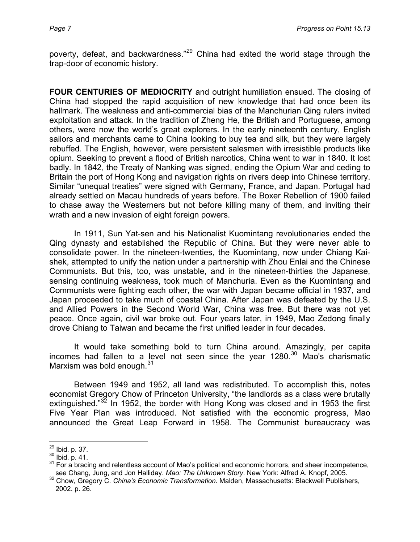poverty, defeat, and backwardness."<sup>[29](#page-6-0)</sup> China had exited the world stage through the trap-door of economic history.

**FOUR CENTURIES OF MEDIOCRITY** and outright humiliation ensued. The closing of China had stopped the rapid acquisition of new knowledge that had once been its hallmark. The weakness and anti-commercial bias of the Manchurian Qing rulers invited exploitation and attack. In the tradition of Zheng He, the British and Portuguese, among others, were now the world's great explorers. In the early nineteenth century, English sailors and merchants came to China looking to buy tea and silk, but they were largely rebuffed. The English, however, were persistent salesmen with irresistible products like opium. Seeking to prevent a flood of British narcotics, China went to war in 1840. It lost badly. In 1842, the Treaty of Nanking was signed, ending the Opium War and ceding to Britain the port of Hong Kong and navigation rights on rivers deep into Chinese territory. Similar "unequal treaties" were signed with Germany, France, and Japan. Portugal had already settled on Macau hundreds of years before. The Boxer Rebellion of 1900 failed to chase away the Westerners but not before killing many of them, and inviting their wrath and a new invasion of eight foreign powers.

In 1911, Sun Yat-sen and his Nationalist Kuomintang revolutionaries ended the Qing dynasty and established the Republic of China. But they were never able to consolidate power. In the nineteen-twenties, the Kuomintang, now under Chiang Kaishek, attempted to unify the nation under a partnership with Zhou Enlai and the Chinese Communists. But this, too, was unstable, and in the nineteen-thirties the Japanese, sensing continuing weakness, took much of Manchuria. Even as the Kuomintang and Communists were fighting each other, the war with Japan became official in 1937, and Japan proceeded to take much of coastal China. After Japan was defeated by the U.S. and Allied Powers in the Second World War, China was free. But there was not yet peace. Once again, civil war broke out. Four years later, in 1949, Mao Zedong finally drove Chiang to Taiwan and became the first unified leader in four decades.

It would take something bold to turn China around. Amazingly, per capita incomes had fallen to a level not seen since the year  $1280$ .<sup>[30](#page-6-1)</sup> Mao's charismatic Marxism was bold enough.<sup>[31](#page-6-2)</sup>

Between 1949 and 1952, all land was redistributed. To accomplish this, notes economist Gregory Chow of Princeton University, "the landlords as a class were brutally extinguished."<sup>[32](#page-6-3)</sup> In 1952, the border with Hong Kong was closed and in 1953 the first Five Year Plan was introduced. Not satisfied with the economic progress, Mao announced the Great Leap Forward in 1958. The Communist bureaucracy was

<span id="page-6-0"></span> $^{29}$  Ibid. p. 37.

<span id="page-6-2"></span><span id="page-6-1"></span><sup>&</sup>lt;sup>30</sup> Ibid. p. 41.<br><sup>31</sup> For a bracing and relentless account of Mao's political and economic horrors, and sheer incompetence,<br>see Chang, Jung, and Jon Halliday. *Mao: The Unknown Story*. New York: Alfred A. Knopf, 2005.

<span id="page-6-3"></span>see Chang, Jung, and Jon Halliday. *Mao: The Unknown Story*. New York: Alfred A. Knopf, 2005. 32 Chow, Gregory C. *China's Economic Transformation*. Malden, Massachusetts: Blackwell Publishers, 2002. p. 26.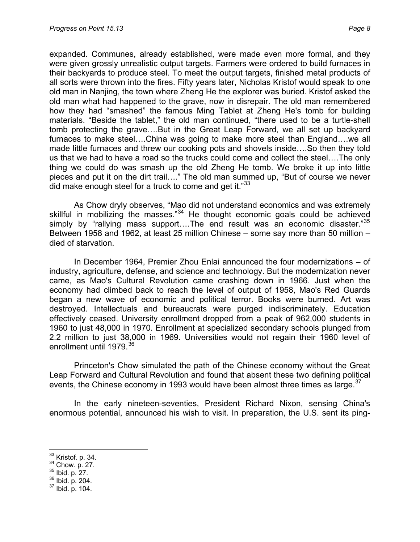expanded. Communes, already established, were made even more formal, and they were given grossly unrealistic output targets. Farmers were ordered to build furnaces in their backyards to produce steel. To meet the output targets, finished metal products of all sorts were thrown into the fires. Fifty years later, Nicholas Kristof would speak to one old man in Nanjing, the town where Zheng He the explorer was buried. Kristof asked the old man what had happened to the grave, now in disrepair. The old man remembered how they had "smashed" the famous Ming Tablet at Zheng He's tomb for building materials. "Beside the tablet," the old man continued, "there used to be a turtle-shell tomb protecting the grave….But in the Great Leap Forward, we all set up backyard furnaces to make steel….China was going to make more steel than England….we all made little furnaces and threw our cooking pots and shovels inside….So then they told us that we had to have a road so the trucks could come and collect the steel….The only thing we could do was smash up the old Zheng He tomb. We broke it up into little pieces and put it on the dirt trail…." The old man summed up, "But of course we never did make enough steel for a truck to come and get it."[33](#page-7-0)

As Chow dryly observes, "Mao did not understand economics and was extremely skillful in mobilizing the masses."<sup>[34](#page-7-1)</sup> He thought economic goals could be achieved simply by "rallying mass support....The end result was an economic disaster."<sup>[35](#page-7-2)</sup> Between 1958 and 1962, at least 25 million Chinese – some say more than 50 million – died of starvation.

In December 1964, Premier Zhou Enlai announced the four modernizations – of industry, agriculture, defense, and science and technology. But the modernization never came, as Mao's Cultural Revolution came crashing down in 1966. Just when the economy had climbed back to reach the level of output of 1958, Mao's Red Guards began a new wave of economic and political terror. Books were burned. Art was destroyed. Intellectuals and bureaucrats were purged indiscriminately. Education effectively ceased. University enrollment dropped from a peak of 962,000 students in 1960 to just 48,000 in 1970. Enrollment at specialized secondary schools plunged from 2.2 million to just 38,000 in 1969. Universities would not regain their 1960 level of enrollment until 1979.<sup>[36](#page-7-3)</sup>

Princeton's Chow simulated the path of the Chinese economy without the Great Leap Forward and Cultural Revolution and found that absent these two defining political events, the Chinese economy in 1993 would have been almost three times as large.  $37$ 

In the early nineteen-seventies, President Richard Nixon, sensing China's enormous potential, announced his wish to visit. In preparation, the U.S. sent its ping-

<span id="page-7-3"></span>

 $33$  Kristof. p. 34.

<span id="page-7-1"></span><span id="page-7-0"></span> $\frac{34}{35}$  Chow. p. 27.<br> $\frac{35}{36}$  Ibid. p. 204.<br> $\frac{37}{37}$  Ibid. p. 104.

<span id="page-7-2"></span>

<span id="page-7-4"></span>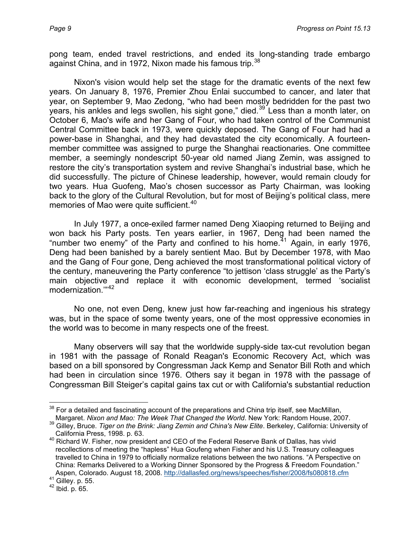pong team, ended travel restrictions, and ended its long-standing trade embargo against China, and in 1972, Nixon made his famous trip.<sup>[38](#page-8-0)</sup>

Nixon's vision would help set the stage for the dramatic events of the next few years. On January 8, 1976, Premier Zhou Enlai succumbed to cancer, and later that year, on September 9, Mao Zedong, "who had been mostly bedridden for the past two years, his ankles and legs swollen, his sight gone," died.<sup>[39](#page-8-1)</sup> Less than a month later, on October 6, Mao's wife and her Gang of Four, who had taken control of the Communist Central Committee back in 1973, were quickly deposed. The Gang of Four had had a power-base in Shanghai, and they had devastated the city economically. A fourteenmember committee was assigned to purge the Shanghai reactionaries. One committee member, a seemingly nondescript 50-year old named Jiang Zemin, was assigned to restore the city's transportation system and revive Shanghai's industrial base, which he did successfully. The picture of Chinese leadership, however, would remain cloudy for two years. Hua Guofeng, Mao's chosen successor as Party Chairman, was looking back to the glory of the Cultural Revolution, but for most of Beijing's political class, mere memories of Mao were quite sufficient.<sup>[40](#page-8-2)</sup>

In July 1977, a once-exiled farmer named Deng Xiaoping returned to Beijing and won back his Party posts. Ten years earlier, in 1967, Deng had been named the "number two enemy" of the Party and confined to his home.<sup> $41$ </sup> Again, in early 1976, Deng had been banished by a barely sentient Mao. But by December 1978, with Mao and the Gang of Four gone, Deng achieved the most transformational political victory of the century, maneuvering the Party conference "to jettison 'class struggle' as the Party's main objective and replace it with economic development, termed 'socialist modernization.'"[42](#page-8-4)

No one, not even Deng, knew just how far-reaching and ingenious his strategy was, but in the space of some twenty years, one of the most oppressive economies in the world was to become in many respects one of the freest.

Many observers will say that the worldwide supply-side tax-cut revolution began in 1981 with the passage of Ronald Reagan's Economic Recovery Act, which was based on a bill sponsored by Congressman Jack Kemp and Senator Bill Roth and which had been in circulation since 1976. Others say it began in 1978 with the passage of Congressman Bill Steiger's capital gains tax cut or with California's substantial reduction

<span id="page-8-0"></span> $\overline{a}$  $38$  For a detailed and fascinating account of the preparations and China trip itself, see MacMillan, Margaret. *Nixon and Mao: The Week That Changed the World*. New York: Random House, 2007.

<sup>39</sup> Gilley, Bruce. *Tiger on the Brink: Jiang Zemin and China's New Elite*. Berkeley, California: University of

<span id="page-8-2"></span><span id="page-8-1"></span>California Press, 1998. p. 63.<br><sup>40</sup> Richard W. Fisher, now president and CEO of the Federal Reserve Bank of Dallas, has vivid recollections of meeting the "hapless" Hua Goufeng when Fisher and his U.S. Treasury colleagues travelled to China in 1979 to officially normalize relations between the two nations. "A Perspective on China: Remarks Delivered to a Working Dinner Sponsored by the Progress & Freedom Foundation." Aspen, Colorado. August 18, 2008.<http://dallasfed.org/news/speeches/fisher/2008/fs080818.cfm><br><sup>41</sup> Gilley. p. 55.

<span id="page-8-4"></span><span id="page-8-3"></span> $42$  Ibid. p. 65.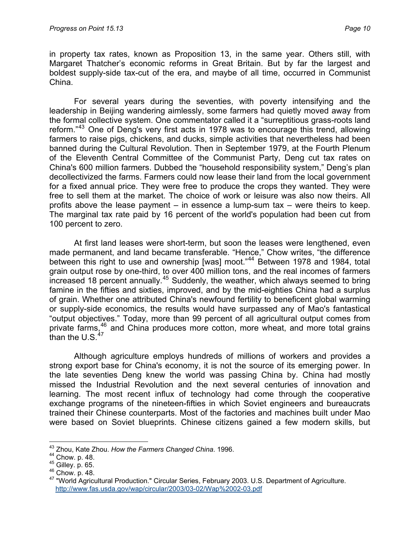in property tax rates, known as Proposition 13, in the same year. Others still, with Margaret Thatcher's economic reforms in Great Britain. But by far the largest and boldest supply-side tax-cut of the era, and maybe of all time, occurred in Communist China.

For several years during the seventies, with poverty intensifying and the leadership in Beijing wandering aimlessly, some farmers had quietly moved away from the formal collective system. One commentator called it a "surreptitious grass-roots land reform."<sup>[43](#page-9-0)</sup> One of Deng's very first acts in 1978 was to encourage this trend, allowing farmers to raise pigs, chickens, and ducks, simple activities that nevertheless had been banned during the Cultural Revolution. Then in September 1979, at the Fourth Plenum of the Eleventh Central Committee of the Communist Party, Deng cut tax rates on China's 600 million farmers. Dubbed the "household responsibility system," Deng's plan decollectivized the farms. Farmers could now lease their land from the local government for a fixed annual price. They were free to produce the crops they wanted. They were free to sell them at the market. The choice of work or leisure was also now theirs. All profits above the lease payment – in essence a lump-sum tax – were theirs to keep. The marginal tax rate paid by 16 percent of the world's population had been cut from 100 percent to zero.

At first land leases were short-term, but soon the leases were lengthened, even made permanent, and land became transferable. "Hence," Chow writes, "the difference between this right to use and ownership [was] moot."<sup>[44](#page-9-1)</sup> Between 1978 and 1984, total grain output rose by one-third, to over 400 million tons, and the real incomes of farmers increased 18 percent annually.[45](#page-9-2) Suddenly, the weather, which always seemed to bring famine in the fifties and sixties, improved, and by the mid-eighties China had a surplus of grain. Whether one attributed China's newfound fertility to beneficent global warming or supply-side economics, the results would have surpassed any of Mao's fantastical "output objectives." Today, more than 99 percent of all agricultural output comes from private farms, $46$  and China produces more cotton, more wheat, and more total grains than the  $U.S.<sup>47</sup>$  $U.S.<sup>47</sup>$  $U.S.<sup>47</sup>$ 

Although agriculture employs hundreds of millions of workers and provides a strong export base for China's economy, it is not the source of its emerging power. In the late seventies Deng knew the world was passing China by. China had mostly missed the Industrial Revolution and the next several centuries of innovation and learning. The most recent influx of technology had come through the cooperative exchange programs of the nineteen-fifties in which Soviet engineers and bureaucrats trained their Chinese counterparts. Most of the factories and machines built under Mao were based on Soviet blueprints. Chinese citizens gained a few modern skills, but

<span id="page-9-0"></span> $\overline{a}$ 43 Zhou, Kate Zhou. *How the Farmers Changed China*. 1996.

<span id="page-9-4"></span><span id="page-9-3"></span>

<span id="page-9-2"></span><span id="page-9-1"></span><sup>15</sup> Gilley. p. 45.<br><sup>45</sup> Gilley. p. 65.<br><sup>46</sup> Chow. p. 48. 47 "World Agricultural Production." Circular Series, February 2003. U.S. Department of Agriculture. <http://www.fas.usda.gov/wap/circular/2003/03-02/Wap%2002-03.pdf>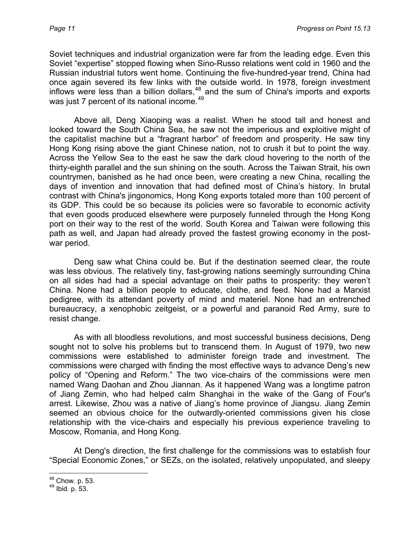Soviet techniques and industrial organization were far from the leading edge. Even this Soviet "expertise" stopped flowing when Sino-Russo relations went cold in 1960 and the Russian industrial tutors went home. Continuing the five-hundred-year trend, China had once again severed its few links with the outside world. In 1978, foreign investment inflows were less than a billion dollars,  $48$  and the sum of China's imports and exports was just 7 percent of its national income.<sup>[49](#page-10-1)</sup>

Above all, Deng Xiaoping was a realist. When he stood tall and honest and looked toward the South China Sea, he saw not the imperious and exploitive might of the capitalist machine but a "fragrant harbor" of freedom and prosperity. He saw tiny Hong Kong rising above the giant Chinese nation, not to crush it but to point the way. Across the Yellow Sea to the east he saw the dark cloud hovering to the north of the thirty-eighth parallel and the sun shining on the south. Across the Taiwan Strait, his own countrymen, banished as he had once been, were creating a new China, recalling the days of invention and innovation that had defined most of China's history. In brutal contrast with China's jingonomics, Hong Kong exports totaled more than 100 percent of its GDP. This could be so because its policies were so favorable to economic activity that even goods produced elsewhere were purposely funneled through the Hong Kong port on their way to the rest of the world. South Korea and Taiwan were following this path as well, and Japan had already proved the fastest growing economy in the postwar period.

Deng saw what China could be. But if the destination seemed clear, the route was less obvious. The relatively tiny, fast-growing nations seemingly surrounding China on all sides had had a special advantage on their paths to prosperity: they weren't China. None had a billion people to educate, clothe, and feed. None had a Marxist pedigree, with its attendant poverty of mind and materiel. None had an entrenched bureaucracy, a xenophobic zeitgeist, or a powerful and paranoid Red Army, sure to resist change.

As with all bloodless revolutions, and most successful business decisions, Deng sought not to solve his problems but to transcend them. In August of 1979, two new commissions were established to administer foreign trade and investment. The commissions were charged with finding the most effective ways to advance Deng's new policy of "Opening and Reform." The two vice-chairs of the commissions were men named Wang Daohan and Zhou Jiannan. As it happened Wang was a longtime patron of Jiang Zemin, who had helped calm Shanghai in the wake of the Gang of Four's arrest. Likewise, Zhou was a native of Jiang's home province of Jiangsu. Jiang Zemin seemed an obvious choice for the outwardly-oriented commissions given his close relationship with the vice-chairs and especially his previous experience traveling to Moscow, Romania, and Hong Kong.

At Deng's direction, the first challenge for the commissions was to establish four "Special Economic Zones," or SEZs, on the isolated, relatively unpopulated, and sleepy

<sup>&</sup>lt;sup>48</sup> Chow. p. 53.

<span id="page-10-1"></span><span id="page-10-0"></span> $49$  Ibid. p. 53.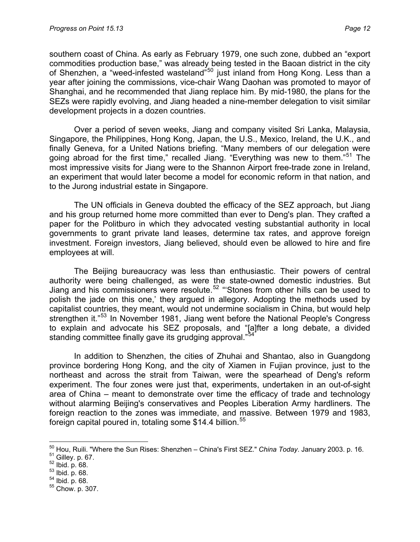southern coast of China. As early as February 1979, one such zone, dubbed an "export commodities production base," was already being tested in the Baoan district in the city of Shenzhen, a "weed-infested wasteland"<sup>[50](#page-11-0)</sup> just inland from Hong Kong. Less than a year after joining the commissions, vice-chair Wang Daohan was promoted to mayor of Shanghai, and he recommended that Jiang replace him. By mid-1980, the plans for the SEZs were rapidly evolving, and Jiang headed a nine-member delegation to visit similar development projects in a dozen countries.

Over a period of seven weeks, Jiang and company visited Sri Lanka, Malaysia, Singapore, the Philippines, Hong Kong, Japan, the U.S., Mexico, Ireland, the U.K., and finally Geneva, for a United Nations briefing. "Many members of our delegation were going abroad for the first time," recalled Jiang. "Everything was new to them."<sup>[51](#page-11-1)</sup> The most impressive visits for Jiang were to the Shannon Airport free-trade zone in Ireland, an experiment that would later become a model for economic reform in that nation, and to the Jurong industrial estate in Singapore.

The UN officials in Geneva doubted the efficacy of the SEZ approach, but Jiang and his group returned home more committed than ever to Deng's plan. They crafted a paper for the Politburo in which they advocated vesting substantial authority in local governments to grant private land leases, determine tax rates, and approve foreign investment. Foreign investors, Jiang believed, should even be allowed to hire and fire employees at will.

The Beijing bureaucracy was less than enthusiastic. Their powers of central authority were being challenged, as were the state-owned domestic industries. But Jiang and his commissioners were resolute.[52](#page-11-2) "'Stones from other hills can be used to polish the jade on this one,' they argued in allegory. Adopting the methods used by capitalist countries, they meant, would not undermine socialism in China, but would help strengthen it."<sup>[53](#page-11-3)</sup> In November 1981, Jiang went before the National People's Congress to explain and advocate his SEZ proposals, and "[a]fter a long debate, a divided standing committee finally gave its grudging approval."<sup>[54](#page-11-4)</sup>

In addition to Shenzhen, the cities of Zhuhai and Shantao, also in Guangdong province bordering Hong Kong, and the city of Xiamen in Fujian province, just to the northeast and across the strait from Taiwan, were the spearhead of Deng's reform experiment. The four zones were just that, experiments, undertaken in an out-of-sight area of China – meant to demonstrate over time the efficacy of trade and technology without alarming Beijing's conservatives and Peoples Liberation Army hardliners. The foreign reaction to the zones was immediate, and massive. Between 1979 and 1983, foreign capital poured in, totaling some  $$14.4$  billion.<sup>[55](#page-11-5)</sup>

- <span id="page-11-3"></span>
- <span id="page-11-4"></span>

<span id="page-11-0"></span> $\overline{a}$ <sup>50</sup> Hou, Ruili. "Where the Sun Rises: Shenzhen – China's First SEZ." *China Today*. January 2003. p. 16.<br>
<sup>51</sup> Gilley. p. 67.<br>
<sup>52</sup> Ibid. p. 68.<br>
<sup>53</sup> Ibid. p. 68.<br>
<sup>54</sup> Ibid. p. 68.<br>
<sup>55</sup> Chow. p. 307.

<span id="page-11-1"></span>

<span id="page-11-2"></span>

<span id="page-11-5"></span>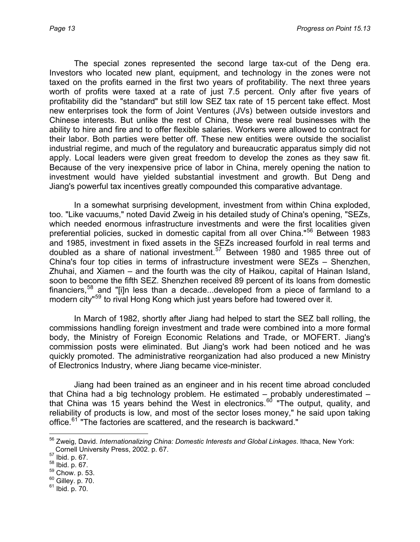The special zones represented the second large tax-cut of the Deng era. Investors who located new plant, equipment, and technology in the zones were not taxed on the profits earned in the first two years of profitability. The next three years worth of profits were taxed at a rate of just 7.5 percent. Only after five years of profitability did the "standard" but still low SEZ tax rate of 15 percent take effect. Most new enterprises took the form of Joint Ventures (JVs) between outside investors and Chinese interests. But unlike the rest of China, these were real businesses with the ability to hire and fire and to offer flexible salaries. Workers were allowed to contract for their labor. Both parties were better off. These new entities were outside the socialist industrial regime, and much of the regulatory and bureaucratic apparatus simply did not apply. Local leaders were given great freedom to develop the zones as they saw fit. Because of the very inexpensive price of labor in China, merely opening the nation to investment would have yielded substantial investment and growth. But Deng and Jiang's powerful tax incentives greatly compounded this comparative advantage.

In a somewhat surprising development, investment from within China exploded, too. "Like vacuums," noted David Zweig in his detailed study of China's opening, "SEZs, which needed enormous infrastructure investments and were the first localities given preferential policies, sucked in domestic capital from all over China."<sup>[56](#page-12-0)</sup> Between 1983 and 1985, investment in fixed assets in the SEZs increased fourfold in real terms and doubled as a share of national investment.<sup>[57](#page-12-1)</sup> Between 1980 and 1985 three out of China's four top cities in terms of infrastructure investment were SEZs – Shenzhen, Zhuhai, and Xiamen – and the fourth was the city of Haikou, capital of Hainan Island, soon to become the fifth SEZ. Shenzhen received 89 percent of its loans from domestic financiers,[58](#page-12-2) and "[i]n less than a decade...developed from a piece of farmland to a modern city<sup>"[59](#page-12-3)</sup> to rival Hong Kong which just years before had towered over it.

In March of 1982, shortly after Jiang had helped to start the SEZ ball rolling, the commissions handling foreign investment and trade were combined into a more formal body, the Ministry of Foreign Economic Relations and Trade, or MOFERT. Jiang's commission posts were eliminated. But Jiang's work had been noticed and he was quickly promoted. The administrative reorganization had also produced a new Ministry of Electronics Industry, where Jiang became vice-minister.

Jiang had been trained as an engineer and in his recent time abroad concluded that China had a big technology problem. He estimated – probably underestimated – that China was 15 years behind the West in electronics.<sup>[60](#page-12-4)</sup> "The output, quality, and reliability of products is low, and most of the sector loses money," he said upon taking office.<sup>[61](#page-12-5)</sup> "The factories are scattered, and the research is backward."

 $\overline{a}$ 

<span id="page-12-4"></span><span id="page-12-3"></span>

<span id="page-12-5"></span>

<span id="page-12-0"></span><sup>56</sup> Zweig, David. *Internationalizing China: Domestic Interests and Global Linkages*. Ithaca, New York: Cornell University Press, 2002. p. 67.<br><sup>57</sup> Ibid. p. 67.<br><sup>58</sup> Ibid. p. 67.<br><sup>59</sup> Chow. p. 53.<br><sup>60</sup> Gilley. p. 70.<br><sup>61</sup> Ibid. p. 70.

<span id="page-12-1"></span>

<span id="page-12-2"></span>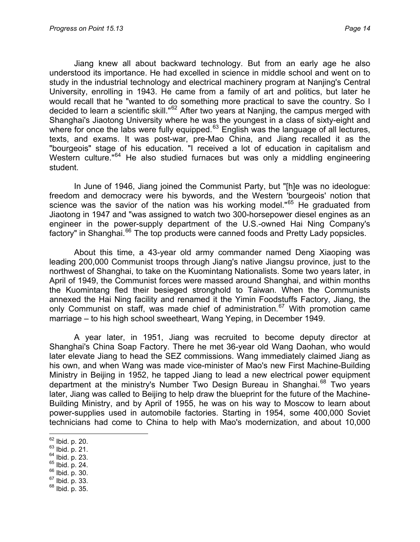Jiang knew all about backward technology. But from an early age he also understood its importance. He had excelled in science in middle school and went on to study in the industrial technology and electrical machinery program at Nanjing's Central University, enrolling in 1943. He came from a family of art and politics, but later he would recall that he "wanted to do something more practical to save the country. So I decided to learn a scientific skill."[62](#page-13-0) After two years at Nanjing, the campus merged with Shanghai's Jiaotong University where he was the youngest in a class of sixty-eight and where for once the labs were fully equipped.<sup>[63](#page-13-1)</sup> English was the language of all lectures, texts, and exams. It was post-war, pre-Mao China, and Jiang recalled it as the "bourgeois" stage of his education. "I received a lot of education in capitalism and Western culture."<sup>[64](#page-13-2)</sup> He also studied furnaces but was only a middling engineering student.

In June of 1946, Jiang joined the Communist Party, but "[h]e was no ideologue: freedom and democracy were his bywords, and the Western 'bourgeois' notion that science was the savior of the nation was his working model."<sup>[65](#page-13-3)</sup> He graduated from Jiaotong in 1947 and "was assigned to watch two 300-horsepower diesel engines as an engineer in the power-supply department of the U.S.-owned Hai Ning Company's factory" in Shanghai.<sup>[66](#page-13-4)</sup> The top products were canned foods and Pretty Lady popsicles.

About this time, a 43-year old army commander named Deng Xiaoping was leading 200,000 Communist troops through Jiang's native Jiangsu province, just to the northwest of Shanghai, to take on the Kuomintang Nationalists. Some two years later, in April of 1949, the Communist forces were massed around Shanghai, and within months the Kuomintang fled their besieged stronghold to Taiwan. When the Communists annexed the Hai Ning facility and renamed it the Yimin Foodstuffs Factory, Jiang, the only Communist on staff, was made chief of administration.<sup>[67](#page-13-5)</sup> With promotion came marriage – to his high school sweetheart, Wang Yeping, in December 1949.

A year later, in 1951, Jiang was recruited to become deputy director at Shanghai's China Soap Factory. There he met 36-year old Wang Daohan, who would later elevate Jiang to head the SEZ commissions. Wang immediately claimed Jiang as his own, and when Wang was made vice-minister of Mao's new First Machine-Building Ministry in Beijing in 1952, he tapped Jiang to lead a new electrical power equipment department at the ministry's Number Two Design Bureau in Shanghai.<sup>[68](#page-13-6)</sup> Two years later, Jiang was called to Beijing to help draw the blueprint for the future of the Machine-Building Ministry, and by April of 1955, he was on his way to Moscow to learn about power-supplies used in automobile factories. Starting in 1954, some 400,000 Soviet technicians had come to China to help with Mao's modernization, and about 10,000

- 
- 
- <span id="page-13-2"></span><span id="page-13-1"></span><span id="page-13-0"></span> $^{63}$  Ibid. p. 21.<br>  $^{64}$  Ibid. p. 23.<br>  $^{65}$  Ibid. p. 30.<br>  $^{67}$  Ibid. p. 33.<br>  $^{68}$  Ibid. p. 35.
- <span id="page-13-5"></span><span id="page-13-4"></span><span id="page-13-3"></span>
- 
- <span id="page-13-6"></span>

 $62$  lbid. p. 20.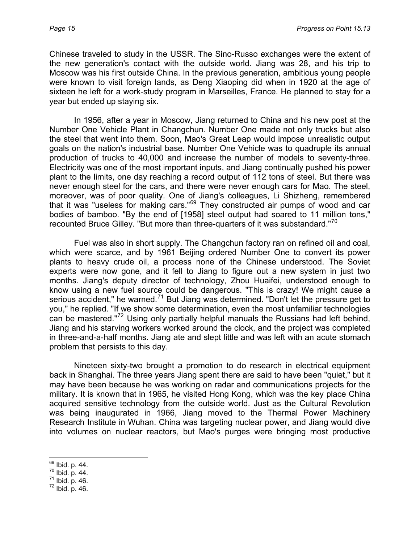Chinese traveled to study in the USSR. The Sino-Russo exchanges were the extent of the new generation's contact with the outside world. Jiang was 28, and his trip to Moscow was his first outside China. In the previous generation, ambitious young people were known to visit foreign lands, as Deng Xiaoping did when in 1920 at the age of sixteen he left for a work-study program in Marseilles, France. He planned to stay for a year but ended up staying six.

In 1956, after a year in Moscow, Jiang returned to China and his new post at the Number One Vehicle Plant in Changchun. Number One made not only trucks but also the steel that went into them. Soon, Mao's Great Leap would impose unrealistic output goals on the nation's industrial base. Number One Vehicle was to quadruple its annual production of trucks to 40,000 and increase the number of models to seventy-three. Electricity was one of the most important inputs, and Jiang continually pushed his power plant to the limits, one day reaching a record output of 112 tons of steel. But there was never enough steel for the cars, and there were never enough cars for Mao. The steel, moreover, was of poor quality. One of Jiang's colleagues, Li Shizheng, remembered that it was "useless for making cars."[69](#page-14-0) They constructed air pumps of wood and car bodies of bamboo. "By the end of [1958] steel output had soared to 11 million tons," recounted Bruce Gilley. "But more than three-quarters of it was substandard."<sup>[70](#page-14-1)</sup>

Fuel was also in short supply. The Changchun factory ran on refined oil and coal, which were scarce, and by 1961 Beijing ordered Number One to convert its power plants to heavy crude oil, a process none of the Chinese understood. The Soviet experts were now gone, and it fell to Jiang to figure out a new system in just two months. Jiang's deputy director of technology, Zhou Huaifei, understood enough to know using a new fuel source could be dangerous. "This is crazy! We might cause a serious accident," he warned.<sup>[71](#page-14-2)</sup> But Jiang was determined. "Don't let the pressure get to you," he replied. "If we show some determination, even the most unfamiliar technologies can be mastered."[72](#page-14-3) Using only partially helpful manuals the Russians had left behind, Jiang and his starving workers worked around the clock, and the project was completed in three-and-a-half months. Jiang ate and slept little and was left with an acute stomach problem that persists to this day.

Nineteen sixty-two brought a promotion to do research in electrical equipment back in Shanghai. The three years Jiang spent there are said to have been "quiet," but it may have been because he was working on radar and communications projects for the military. It is known that in 1965, he visited Hong Kong, which was the key place China acquired sensitive technology from the outside world. Just as the Cultural Revolution was being inaugurated in 1966, Jiang moved to the Thermal Power Machinery Research Institute in Wuhan. China was targeting nuclear power, and Jiang would dive into volumes on nuclear reactors, but Mao's purges were bringing most productive

<sup>69</sup> Ibid. p. 44.

<span id="page-14-3"></span>

<span id="page-14-2"></span><span id="page-14-1"></span><span id="page-14-0"></span> $\frac{70}{71}$  Ibid. p. 44.<br> $\frac{71}{72}$  Ibid. p. 46.<br> $\frac{72}{72}$  Ibid. p. 46.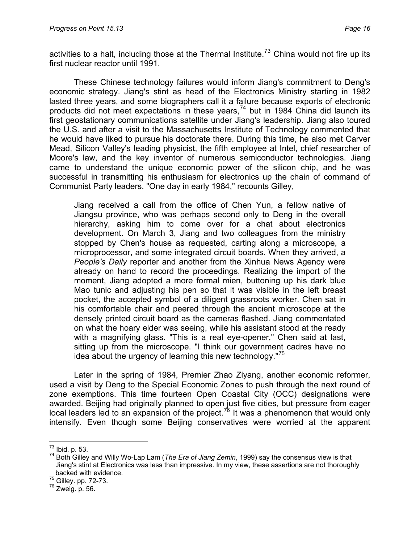activities to a halt, including those at the Thermal Institute.<sup>[73](#page-15-0)</sup> China would not fire up its first nuclear reactor until 1991.

These Chinese technology failures would inform Jiang's commitment to Deng's economic strategy. Jiang's stint as head of the Electronics Ministry starting in 1982 lasted three years, and some biographers call it a failure because exports of electronic products did not meet expectations in these years, $74$  but in 1984 China did launch its first geostationary communications satellite under Jiang's leadership. Jiang also toured the U.S. and after a visit to the Massachusetts Institute of Technology commented that he would have liked to pursue his doctorate there. During this time, he also met Carver Mead, Silicon Valley's leading physicist, the fifth employee at Intel, chief researcher of Moore's law, and the key inventor of numerous semiconductor technologies. Jiang came to understand the unique economic power of the silicon chip, and he was successful in transmitting his enthusiasm for electronics up the chain of command of Communist Party leaders. "One day in early 1984," recounts Gilley,

Jiang received a call from the office of Chen Yun, a fellow native of Jiangsu province, who was perhaps second only to Deng in the overall hierarchy, asking him to come over for a chat about electronics development. On March 3, Jiang and two colleagues from the ministry stopped by Chen's house as requested, carting along a microscope, a microprocessor, and some integrated circuit boards. When they arrived, a *People's Daily* reporter and another from the Xinhua News Agency were already on hand to record the proceedings. Realizing the import of the moment, Jiang adopted a more formal mien, buttoning up his dark blue Mao tunic and adjusting his pen so that it was visible in the left breast pocket, the accepted symbol of a diligent grassroots worker. Chen sat in his comfortable chair and peered through the ancient microscope at the densely printed circuit board as the cameras flashed. Jiang commentated on what the hoary elder was seeing, while his assistant stood at the ready with a magnifying glass. "This is a real eye-opener," Chen said at last, sitting up from the microscope. "I think our government cadres have no idea about the urgency of learning this new technology."<sup>[75](#page-15-2)</sup>

Later in the spring of 1984, Premier Zhao Ziyang, another economic reformer, used a visit by Deng to the Special Economic Zones to push through the next round of zone exemptions. This time fourteen Open Coastal City (OCC) designations were awarded. Beijing had originally planned to open just five cities, but pressure from eager local leaders led to an expansion of the project.<sup>[76](#page-15-3)</sup> It was a phenomenon that would only intensify. Even though some Beijing conservatives were worried at the apparent

<span id="page-15-0"></span> $^{73}$  lbid. p. 53.

<span id="page-15-1"></span><sup>&</sup>lt;sup>74</sup> Both Gilley and Willy Wo-Lap Lam (*The Era of Jiang Zemin*, 1999) say the consensus view is that Jiang's stint at Electronics was less than impressive. In my view, these assertions are not thoroughly backed with evidence.

<span id="page-15-3"></span><span id="page-15-2"></span> $^{75}$  Gilley. pp. 72-73.<br> $^{76}$  Zweig. p. 56.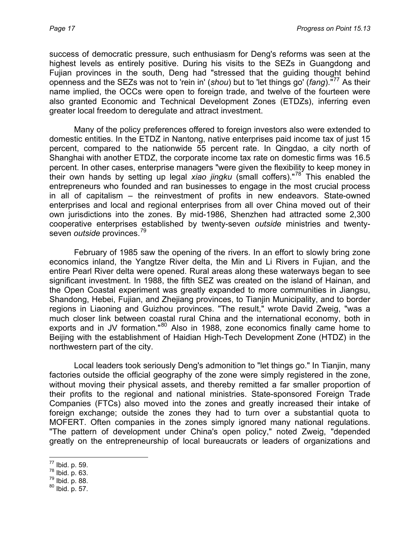success of democratic pressure, such enthusiasm for Deng's reforms was seen at the highest levels as entirely positive. During his visits to the SEZs in Guangdong and Fujian provinces in the south, Deng had "stressed that the guiding thought behind openness and the SEZs was not to 'rein in' (*shou*) but to 'let things go' (*fang*)."<sup>11</sup> As their name implied, the OCCs were open to foreign trade, and twelve of the fourteen were also granted Economic and Technical Development Zones (ETDZs), inferring even greater local freedom to deregulate and attract investment.

Many of the policy preferences offered to foreign investors also were extended to domestic entities. In the ETDZ in Nantong, native enterprises paid income tax of just 15 percent, compared to the nationwide 55 percent rate. In Qingdao, a city north of Shanghai with another ETDZ, the corporate income tax rate on domestic firms was 16.5 percent. In other cases, enterprise managers "were given the flexibility to keep money in their own hands by setting up legal *xiao jingku* (small coffers)."[78](#page-16-1) This enabled the entrepreneurs who founded and ran businesses to engage in the most crucial process in all of capitalism – the reinvestment of profits in new endeavors. State-owned enterprises and local and regional enterprises from all over China moved out of their own jurisdictions into the zones. By mid-1986, Shenzhen had attracted some 2,300 cooperative enterprises established by twenty-seven *outside* ministries and twentyseven *outside* provinces.<sup>[79](#page-16-2)</sup>

February of 1985 saw the opening of the rivers. In an effort to slowly bring zone economics inland, the Yangtze River delta, the Min and Li Rivers in Fujian, and the entire Pearl River delta were opened. Rural areas along these waterways began to see significant investment. In 1988, the fifth SEZ was created on the island of Hainan, and the Open Coastal experiment was greatly expanded to more communities in Jiangsu, Shandong, Hebei, Fujian, and Zhejiang provinces, to Tianjin Municipality, and to border regions in Liaoning and Guizhou provinces. "The result," wrote David Zweig, "was a much closer link between coastal rural China and the international economy, both in exports and in JV formation."<sup>[80](#page-16-3)</sup> Also in 1988, zone economics finally came home to Beijing with the establishment of Haidian High-Tech Development Zone (HTDZ) in the northwestern part of the city.

Local leaders took seriously Deng's admonition to "let things go." In Tianjin, many factories outside the official geography of the zone were simply registered in the zone, without moving their physical assets, and thereby remitted a far smaller proportion of their profits to the regional and national ministries. State-sponsored Foreign Trade Companies (FTCs) also moved into the zones and greatly increased their intake of foreign exchange; outside the zones they had to turn over a substantial quota to MOFERT. Often companies in the zones simply ignored many national regulations. "The pattern of development under China's open policy," noted Zweig, "depended greatly on the entrepreneurship of local bureaucrats or leaders of organizations and

<sup>77</sup> Ibid. p. 59.

<span id="page-16-3"></span>

<span id="page-16-2"></span><span id="page-16-1"></span><span id="page-16-0"></span> $\frac{78}{79}$  Ibid. p. 63.<br> $\frac{80}{19}$  Ibid. p. 88.<br> $\frac{80}{191}$  Ibid. p. 57.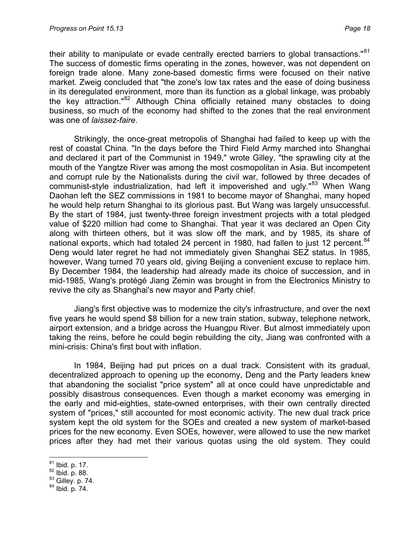their ability to manipulate or evade centrally erected barriers to global transactions."<sup>[81](#page-17-0)</sup> The success of domestic firms operating in the zones, however, was not dependent on foreign trade alone. Many zone-based domestic firms were focused on their native market. Zweig concluded that "the zone's low tax rates and the ease of doing business in its deregulated environment, more than its function as a global linkage, was probably the key attraction."<sup>[82](#page-17-1)</sup> Although China officially retained many obstacles to doing business, so much of the economy had shifted to the zones that the real environment was one of *laissez-faire*.

Strikingly, the once-great metropolis of Shanghai had failed to keep up with the rest of coastal China. "In the days before the Third Field Army marched into Shanghai and declared it part of the Communist in 1949," wrote Gilley, "the sprawling city at the mouth of the Yangtze River was among the most cosmopolitan in Asia. But incompetent and corrupt rule by the Nationalists during the civil war, followed by three decades of communist-style industrialization, had left it impoverished and ugly."<sup>[83](#page-17-2)</sup> When Wang Daohan left the SEZ commissions in 1981 to become mayor of Shanghai, many hoped he would help return Shanghai to its glorious past. But Wang was largely unsuccessful. By the start of 1984, just twenty-three foreign investment projects with a total pledged value of \$220 million had come to Shanghai. That year it was declared an Open City along with thirteen others, but it was slow off the mark, and by 1985, its share of national exports, which had totaled 24 percent in 1980, had fallen to just 12 percent.<sup>[84](#page-17-3)</sup> Deng would later regret he had not immediately given Shanghai SEZ status. In 1985, however, Wang turned 70 years old, giving Beijing a convenient excuse to replace him. By December 1984, the leadership had already made its choice of succession, and in mid-1985, Wang's protégé Jiang Zemin was brought in from the Electronics Ministry to revive the city as Shanghai's new mayor and Party chief.

Jiang's first objective was to modernize the city's infrastructure, and over the next five years he would spend \$8 billion for a new train station, subway, telephone network, airport extension, and a bridge across the Huangpu River. But almost immediately upon taking the reins, before he could begin rebuilding the city, Jiang was confronted with a mini-crisis: China's first bout with inflation.

In 1984, Beijing had put prices on a dual track. Consistent with its gradual, decentralized approach to opening up the economy, Deng and the Party leaders knew that abandoning the socialist "price system" all at once could have unpredictable and possibly disastrous consequences. Even though a market economy was emerging in the early and mid-eighties, state-owned enterprises, with their own centrally directed system of "prices," still accounted for most economic activity. The new dual track price system kept the old system for the SOEs and created a new system of market-based prices for the new economy. Even SOEs, however, were allowed to use the new market prices after they had met their various quotas using the old system. They could

<sup>81</sup> Ibid. p. 17.

<span id="page-17-2"></span><span id="page-17-1"></span><span id="page-17-0"></span> $^{82}$  Ibid. p. 88.<br> $^{83}$  Gilley. p. 74.<br> $^{84}$  Ibid. p. 74.

<span id="page-17-3"></span>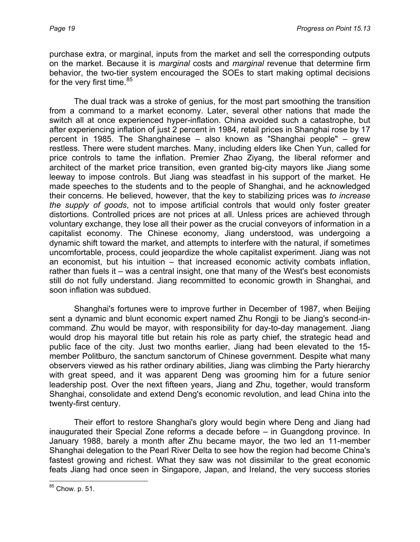purchase extra, or marginal, inputs from the market and sell the corresponding outputs on the market. Because it is *marginal* costs and *marginal* revenue that determine firm behavior, the two-tier system encouraged the SOEs to start making optimal decisions for the very first time.<sup>[85](#page-18-0)</sup>

The dual track was a stroke of genius, for the most part smoothing the transition from a command to a market economy. Later, several other nations that made the switch all at once experienced hyper-inflation. China avoided such a catastrophe, but after experiencing inflation of just 2 percent in 1984, retail prices in Shanghai rose by 17 percent in 1985. The Shanghainese – also known as "Shanghai people" – grew restless. There were student marches. Many, including elders like Chen Yun, called for price controls to tame the inflation. Premier Zhao Ziyang, the liberal reformer and architect of the market price transition, even granted big-city mayors like Jiang some leeway to impose controls. But Jiang was steadfast in his support of the market. He made speeches to the students and to the people of Shanghai, and he acknowledged their concerns. He believed, however, that the key to stabilizing prices was *to increase the supply of goods*, not to impose artificial controls that would only foster greater distortions. Controlled prices are not prices at all. Unless prices are achieved through voluntary exchange, they lose all their power as the crucial conveyors of information in a capitalist economy. The Chinese economy, Jiang understood, was undergoing a dynamic shift toward the market, and attempts to interfere with the natural, if sometimes uncomfortable, process, could jeopardize the whole capitalist experiment. Jiang was not an economist, but his intuition – that increased economic activity combats inflation, rather than fuels it – was a central insight, one that many of the West's best economists still do not fully understand. Jiang recommitted to economic growth in Shanghai, and soon inflation was subdued.

Shanghai's fortunes were to improve further in December of 1987, when Beijing sent a dynamic and blunt economic expert named Zhu Rongji to be Jiang's second-incommand. Zhu would be mayor, with responsibility for day-to-day management. Jiang would drop his mayoral title but retain his role as party chief, the strategic head and public face of the city. Just two months earlier, Jiang had been elevated to the 15 member Politburo, the sanctum sanctorum of Chinese government. Despite what many observers viewed as his rather ordinary abilities, Jiang was climbing the Party hierarchy with great speed, and it was apparent Deng was grooming him for a future senior leadership post. Over the next fifteen years, Jiang and Zhu, together, would transform Shanghai, consolidate and extend Deng's economic revolution, and lead China into the twenty-first century.

Their effort to restore Shanghai's glory would begin where Deng and Jiang had inaugurated their Special Zone reforms a decade before – in Guangdong province. In January 1988, barely a month after Zhu became mayor, the two led an 11-member Shanghai delegation to the Pearl River Delta to see how the region had become China's fastest growing and richest. What they saw was not dissimilar to the great economic feats Jiang had once seen in Singapore, Japan, and Ireland, the very success stories

 $\overline{a}$ 

<span id="page-18-0"></span><sup>&</sup>lt;sup>85</sup> Chow. p. 51.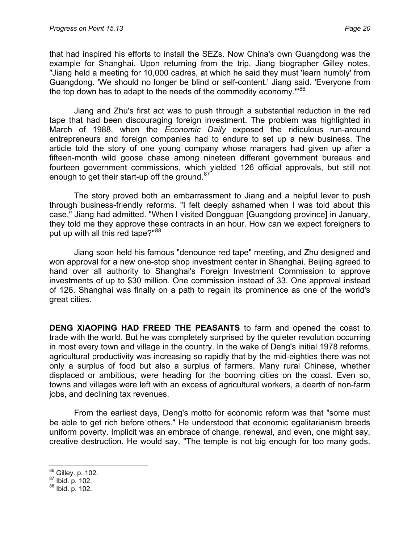that had inspired his efforts to install the SEZs. Now China's own Guangdong was the example for Shanghai. Upon returning from the trip, Jiang biographer Gilley notes, "Jiang held a meeting for 10,000 cadres, at which he said they must 'learn humbly' from Guangdong. 'We should no longer be blind or self-content.' Jiang said. 'Everyone from the top down has to adapt to the needs of the commodity economy."<sup>[86](#page-19-0)</sup>

Jiang and Zhu's first act was to push through a substantial reduction in the red tape that had been discouraging foreign investment. The problem was highlighted in March of 1988, when the *Economic Daily* exposed the ridiculous run-around entrepreneurs and foreign companies had to endure to set up a new business. The article told the story of one young company whose managers had given up after a fifteen-month wild goose chase among nineteen different government bureaus and fourteen government commissions, which yielded 126 official approvals, but still not enough to get their start-up off the ground.<sup>[87](#page-19-1)</sup>

The story proved both an embarrassment to Jiang and a helpful lever to push through business-friendly reforms. "I felt deeply ashamed when I was told about this case," Jiang had admitted. "When I visited Dongguan [Guangdong province] in January, they told me they approve these contracts in an hour. How can we expect foreigners to put up with all this red tape?"<sup>[88](#page-19-2)</sup>

Jiang soon held his famous "denounce red tape" meeting, and Zhu designed and won approval for a new one-stop shop investment center in Shanghai. Beijing agreed to hand over all authority to Shanghai's Foreign Investment Commission to approve investments of up to \$30 million. One commission instead of 33. One approval instead of 126. Shanghai was finally on a path to regain its prominence as one of the world's great cities.

**DENG XIAOPING HAD FREED THE PEASANTS** to farm and opened the coast to trade with the world. But he was completely surprised by the quieter revolution occurring in most every town and village in the country. In the wake of Deng's initial 1978 reforms, agricultural productivity was increasing so rapidly that by the mid-eighties there was not only a surplus of food but also a surplus of farmers. Many rural Chinese, whether displaced or ambitious, were heading for the booming cities on the coast. Even so, towns and villages were left with an excess of agricultural workers, a dearth of non-farm jobs, and declining tax revenues.

From the earliest days, Deng's motto for economic reform was that "some must be able to get rich before others." He understood that economic egalitarianism breeds uniform poverty. Implicit was an embrace of change, renewal, and even, one might say, creative destruction. He would say, "The temple is not big enough for too many gods.

 $\overline{a}$ 

<span id="page-19-1"></span><span id="page-19-0"></span> $\frac{86}{87}$  Gilley. p. 102.<br> $\frac{87}{88}$  Ibid. p. 102.

<span id="page-19-2"></span>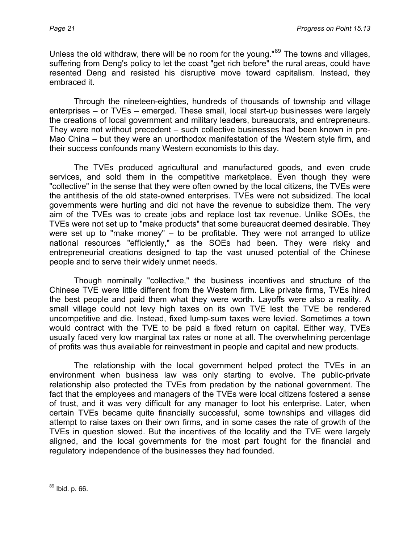Unless the old withdraw, there will be no room for the young."<sup>[89](#page-20-0)</sup> The towns and villages, suffering from Deng's policy to let the coast "get rich before" the rural areas, could have resented Deng and resisted his disruptive move toward capitalism. Instead, they embraced it.

Through the nineteen-eighties, hundreds of thousands of township and village enterprises – or TVEs – emerged. These small, local start-up businesses were largely the creations of local government and military leaders, bureaucrats, and entrepreneurs. They were not without precedent – such collective businesses had been known in pre-Mao China – but they were an unorthodox manifestation of the Western style firm, and their success confounds many Western economists to this day.

The TVEs produced agricultural and manufactured goods, and even crude services, and sold them in the competitive marketplace. Even though they were "collective" in the sense that they were often owned by the local citizens, the TVEs were the antithesis of the old state-owned enterprises. TVEs were not subsidized. The local governments were hurting and did not have the revenue to subsidize them. The very aim of the TVEs was to create jobs and replace lost tax revenue. Unlike SOEs, the TVEs were not set up to "make products" that some bureaucrat deemed desirable. They were set up to "make money" – to be profitable. They were not arranged to utilize national resources "efficiently," as the SOEs had been. They were risky and entrepreneurial creations designed to tap the vast unused potential of the Chinese people and to serve their widely unmet needs.

Though nominally "collective," the business incentives and structure of the Chinese TVE were little different from the Western firm. Like private firms, TVEs hired the best people and paid them what they were worth. Layoffs were also a reality. A small village could not levy high taxes on its own TVE lest the TVE be rendered uncompetitive and die. Instead, fixed lump-sum taxes were levied. Sometimes a town would contract with the TVE to be paid a fixed return on capital. Either way, TVEs usually faced very low marginal tax rates or none at all. The overwhelming percentage of profits was thus available for reinvestment in people and capital and new products.

The relationship with the local government helped protect the TVEs in an environment when business law was only starting to evolve. The public-private relationship also protected the TVEs from predation by the national government. The fact that the employees and managers of the TVEs were local citizens fostered a sense of trust, and it was very difficult for any manager to loot his enterprise. Later, when certain TVEs became quite financially successful, some townships and villages did attempt to raise taxes on their own firms, and in some cases the rate of growth of the TVEs in question slowed. But the incentives of the locality and the TVE were largely aligned, and the local governments for the most part fought for the financial and regulatory independence of the businesses they had founded.

<span id="page-20-0"></span> $\overline{a}$ <sup>89</sup> Ibid. p. 66.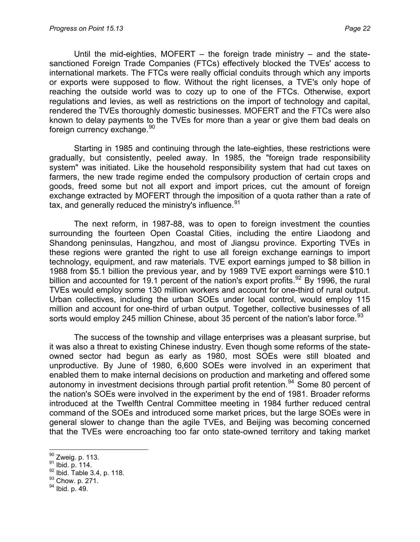Until the mid-eighties, MOFERT  $-$  the foreign trade ministry  $-$  and the statesanctioned Foreign Trade Companies (FTCs) effectively blocked the TVEs' access to international markets. The FTCs were really official conduits through which any imports or exports were supposed to flow. Without the right licenses, a TVE's only hope of reaching the outside world was to cozy up to one of the FTCs. Otherwise, export regulations and levies, as well as restrictions on the import of technology and capital, rendered the TVEs thoroughly domestic businesses. MOFERT and the FTCs were also known to delay payments to the TVEs for more than a year or give them bad deals on foreign currency exchange.<sup>[90](#page-21-0)</sup>

Starting in 1985 and continuing through the late-eighties, these restrictions were gradually, but consistently, peeled away. In 1985, the "foreign trade responsibility system" was initiated. Like the household responsibility system that had cut taxes on farmers, the new trade regime ended the compulsory production of certain crops and goods, freed some but not all export and import prices, cut the amount of foreign exchange extracted by MOFERT through the imposition of a quota rather than a rate of tax, and generally reduced the ministry's influence.<sup>[91](#page-21-1)</sup>

The next reform, in 1987-88, was to open to foreign investment the counties surrounding the fourteen Open Coastal Cities, including the entire Liaodong and Shandong peninsulas, Hangzhou, and most of Jiangsu province. Exporting TVEs in these regions were granted the right to use all foreign exchange earnings to import technology, equipment, and raw materials. TVE export earnings jumped to \$8 billion in 1988 from \$5.1 billion the previous year, and by 1989 TVE export earnings were \$10.1 billion and accounted for 19.1 percent of the nation's export profits.<sup>[92](#page-21-2)</sup> By 1996, the rural TVEs would employ some 130 million workers and account for one-third of rural output. Urban collectives, including the urban SOEs under local control, would employ 115 million and account for one-third of urban output. Together, collective businesses of all sorts would employ 245 million Chinese, about 35 percent of the nation's labor force.  $93$ 

The success of the township and village enterprises was a pleasant surprise, but it was also a threat to existing Chinese industry. Even though some reforms of the stateowned sector had begun as early as 1980, most SOEs were still bloated and unproductive. By June of 1980, 6,600 SOEs were involved in an experiment that enabled them to make internal decisions on production and marketing and offered some autonomy in investment decisions through partial profit retention.<sup>[94](#page-21-4)</sup> Some 80 percent of the nation's SOEs were involved in the experiment by the end of 1981. Broader reforms introduced at the Twelfth Central Committee meeting in 1984 further reduced central command of the SOEs and introduced some market prices, but the large SOEs were in general slower to change than the agile TVEs, and Beijing was becoming concerned that the TVEs were encroaching too far onto state-owned territory and taking market

<span id="page-21-0"></span> $90$  Zweig. p. 113.

<span id="page-21-2"></span><span id="page-21-1"></span><sup>91</sup> Ibid. p. 114.<br>
92 Ibid. Table 3.4, p. 118.<br>
93 Chow. p. 271.<br>
94 Ibid. p. 49.

<span id="page-21-3"></span>

<span id="page-21-4"></span>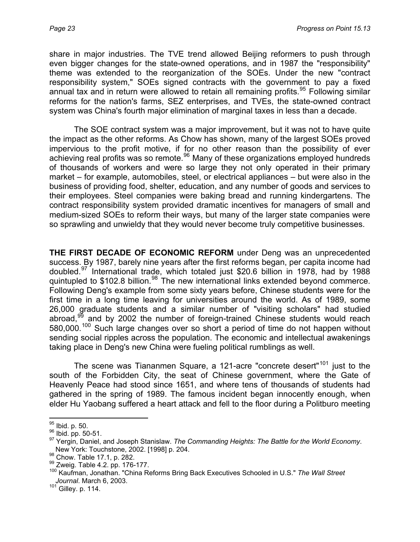share in major industries. The TVE trend allowed Beijing reformers to push through even bigger changes for the state-owned operations, and in 1987 the "responsibility" theme was extended to the reorganization of the SOEs. Under the new "contract responsibility system," SOEs signed contracts with the government to pay a fixed annual tax and in return were allowed to retain all remaining profits.<sup>[95](#page-22-0)</sup> Following similar reforms for the nation's farms, SEZ enterprises, and TVEs, the state-owned contract system was China's fourth major elimination of marginal taxes in less than a decade.

The SOE contract system was a major improvement, but it was not to have quite the impact as the other reforms. As Chow has shown, many of the largest SOEs proved impervious to the profit motive, if for no other reason than the possibility of ever achieving real profits was so remote.<sup>[96](#page-22-1)</sup> Many of these organizations employed hundreds of thousands of workers and were so large they not only operated in their primary market – for example, automobiles, steel, or electrical appliances – but were also in the business of providing food, shelter, education, and any number of goods and services to their employees. Steel companies were baking bread and running kindergartens. The contract responsibility system provided dramatic incentives for managers of small and medium-sized SOEs to reform their ways, but many of the larger state companies were so sprawling and unwieldy that they would never become truly competitive businesses.

**THE FIRST DECADE OF ECONOMIC REFORM** under Deng was an unprecedented success. By 1987, barely nine years after the first reforms began, per capita income had doubled.[97](#page-22-2) International trade, which totaled just \$20.6 billion in 1978, had by 1988 quintupled to  $$102.8$  billion.<sup>[98](#page-22-3)</sup> The new international links extended beyond commerce. Following Deng's example from some sixty years before, Chinese students were for the first time in a long time leaving for universities around the world. As of 1989, some 26,000 graduate students and a similar number of "visiting scholars" had studied abroad, $99$  and by 2002 the number of foreign-trained Chinese students would reach 580,000.<sup>[100](#page-22-5)</sup> Such large changes over so short a period of time do not happen without sending social ripples across the population. The economic and intellectual awakenings taking place in Deng's new China were fueling political rumblings as well.

The scene was Tiananmen Square, a 121-acre "concrete desert"<sup>[101](#page-22-6)</sup> just to the south of the Forbidden City, the seat of Chinese government, where the Gate of Heavenly Peace had stood since 1651, and where tens of thousands of students had gathered in the spring of 1989. The famous incident began innocently enough, when elder Hu Yaobang suffered a heart attack and fell to the floor during a Politburo meeting

 $\overline{a}$ 

<span id="page-22-1"></span><span id="page-22-0"></span><sup>&</sup>lt;sup>95</sup> Ibid. p. 50.<br><sup>96</sup> Ibid. pp. 50-51.<br><sup>97</sup> Yergin, Daniel, and Joseph Stanislaw. *The Commanding Heights: The Battle for the World Economy*.<br>New York: Touchstone, 2002. [1998] p. 204.

<span id="page-22-5"></span>

<span id="page-22-4"></span><span id="page-22-3"></span><span id="page-22-2"></span>new York: Trable 17.1, p. 282.<br><sup>99</sup> Zweig. Table 4.2. pp. 176-177.<br><sup>100</sup> Kaufman, Jonathan. "China Reforms Bring Back Executives Schooled in U.S." *The Wall Street Journal*. March 6, 2003.

<span id="page-22-6"></span> $101$  Gilley. p. 114.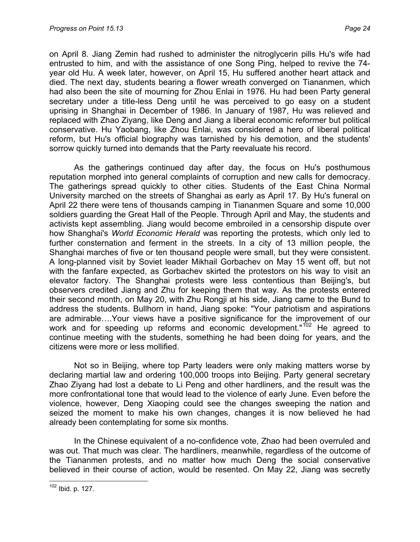on April 8. Jiang Zemin had rushed to administer the nitroglycerin pills Hu's wife had entrusted to him, and with the assistance of one Song Ping, helped to revive the 74 year old Hu. A week later, however, on April 15, Hu suffered another heart attack and died. The next day, students bearing a flower wreath converged on Tiananmen, which had also been the site of mourning for Zhou Enlai in 1976. Hu had been Party general secretary under a title-less Deng until he was perceived to go easy on a student uprising in Shanghai in December of 1986. In January of 1987, Hu was relieved and replaced with Zhao Ziyang, like Deng and Jiang a liberal economic reformer but political conservative. Hu Yaobang, like Zhou Enlai, was considered a hero of liberal political reform, but Hu's official biography was tarnished by his demotion, and the students' sorrow quickly turned into demands that the Party reevaluate his record.

As the gatherings continued day after day, the focus on Hu's posthumous reputation morphed into general complaints of corruption and new calls for democracy. The gatherings spread quickly to other cities. Students of the East China Normal University marched on the streets of Shanghai as early as April 17. By Hu's funeral on April 22 there were tens of thousands camping in Tiananmen Square and some 10,000 soldiers guarding the Great Hall of the People. Through April and May, the students and activists kept assembling. Jiang would become embroiled in a censorship dispute over how Shanghai's *World Economic Herald* was reporting the protests, which only led to further consternation and ferment in the streets. In a city of 13 million people, the Shanghai marches of five or ten thousand people were small, but they were consistent. A long-planned visit by Soviet leader Mikhail Gorbachev on May 15 went off, but not with the fanfare expected, as Gorbachev skirted the protestors on his way to visit an elevator factory. The Shanghai protests were less contentious than Beijing's, but observers credited Jiang and Zhu for keeping them that way. As the protests entered their second month, on May 20, with Zhu Rongji at his side, Jiang came to the Bund to address the students. Bullhorn in hand, Jiang spoke: "Your patriotism and aspirations are admirable….Your views have a positive significance for the improvement of our work and for speeding up reforms and economic development."<sup>[102](#page-23-0)</sup> He agreed to continue meeting with the students, something he had been doing for years, and the citizens were more or less mollified.

Not so in Beijing, where top Party leaders were only making matters worse by declaring martial law and ordering 100,000 troops into Beijing. Party general secretary Zhao Ziyang had lost a debate to Li Peng and other hardliners, and the result was the more confrontational tone that would lead to the violence of early June. Even before the violence, however, Deng Xiaoping could see the changes sweeping the nation and seized the moment to make his own changes, changes it is now believed he had already been contemplating for some six months.

In the Chinese equivalent of a no-confidence vote, Zhao had been overruled and was out. That much was clear. The hardliners, meanwhile, regardless of the outcome of the Tiananmen protests, and no matter how much Deng the social conservative believed in their course of action, would be resented. On May 22, Jiang was secretly

<span id="page-23-0"></span> $\overline{a}$  $102$  Ibid. p. 127.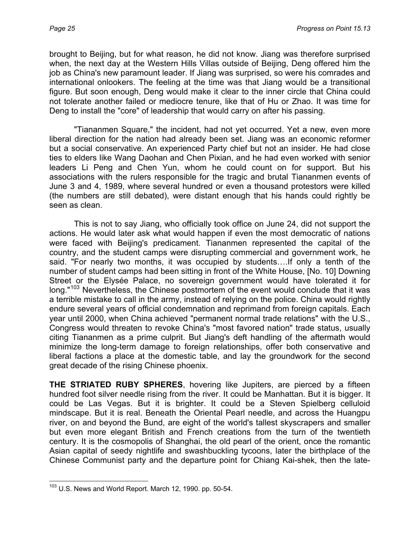brought to Beijing, but for what reason, he did not know. Jiang was therefore surprised when, the next day at the Western Hills Villas outside of Beijing, Deng offered him the job as China's new paramount leader. If Jiang was surprised, so were his comrades and international onlookers. The feeling at the time was that Jiang would be a transitional figure. But soon enough, Deng would make it clear to the inner circle that China could not tolerate another failed or mediocre tenure, like that of Hu or Zhao. It was time for Deng to install the "core" of leadership that would carry on after his passing.

"Tiananmen Square," the incident, had not yet occurred. Yet a new, even more liberal direction for the nation had already been set. Jiang was an economic reformer but a social conservative. An experienced Party chief but not an insider. He had close ties to elders like Wang Daohan and Chen Pixian, and he had even worked with senior leaders Li Peng and Chen Yun, whom he could count on for support. But his associations with the rulers responsible for the tragic and brutal Tiananmen events of June 3 and 4, 1989, where several hundred or even a thousand protestors were killed (the numbers are still debated), were distant enough that his hands could rightly be seen as clean.

This is not to say Jiang, who officially took office on June 24, did not support the actions. He would later ask what would happen if even the most democratic of nations were faced with Beijing's predicament. Tiananmen represented the capital of the country, and the student camps were disrupting commercial and government work, he said. "For nearly two months, it was occupied by students….If only a tenth of the number of student camps had been sitting in front of the White House, [No. 10] Downing Street or the Elysée Palace, no sovereign government would have tolerated it for long."<sup>[103](#page-24-0)</sup> Nevertheless, the Chinese postmortem of the event would conclude that it was a terrible mistake to call in the army, instead of relying on the police. China would rightly endure several years of official condemnation and reprimand from foreign capitals. Each year until 2000, when China achieved "permanent normal trade relations" with the U.S., Congress would threaten to revoke China's "most favored nation" trade status, usually citing Tiananmen as a prime culprit. But Jiang's deft handling of the aftermath would minimize the long-term damage to foreign relationships, offer both conservative and liberal factions a place at the domestic table, and lay the groundwork for the second great decade of the rising Chinese phoenix.

**THE STRIATED RUBY SPHERES**, hovering like Jupiters, are pierced by a fifteen hundred foot silver needle rising from the river. It could be Manhattan. But it is bigger. It could be Las Vegas. But it is brighter. It could be a Steven Spielberg celluloid mindscape. But it is real. Beneath the Oriental Pearl needle, and across the Huangpu river, on and beyond the Bund, are eight of the world's tallest skyscrapers and smaller but even more elegant British and French creations from the turn of the twentieth century. It is the cosmopolis of Shanghai, the old pearl of the orient, once the romantic Asian capital of seedy nightlife and swashbuckling tycoons, later the birthplace of the Chinese Communist party and the departure point for Chiang Kai-shek, then the late-

<span id="page-24-0"></span> $\overline{a}$  $103$  U.S. News and World Report. March 12, 1990. pp. 50-54.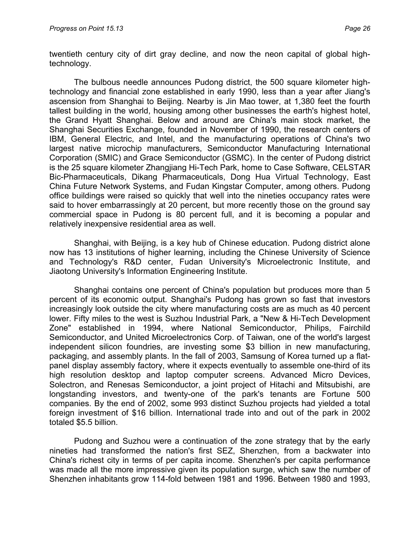twentieth century city of dirt gray decline, and now the neon capital of global hightechnology.

The bulbous needle announces Pudong district, the 500 square kilometer hightechnology and financial zone established in early 1990, less than a year after Jiang's ascension from Shanghai to Beijing. Nearby is Jin Mao tower, at 1,380 feet the fourth tallest building in the world, housing among other businesses the earth's highest hotel, the Grand Hyatt Shanghai. Below and around are China's main stock market, the Shanghai Securities Exchange, founded in November of 1990, the research centers of IBM, General Electric, and Intel, and the manufacturing operations of China's two largest native microchip manufacturers, Semiconductor Manufacturing International Corporation (SMIC) and Grace Semiconductor (GSMC). In the center of Pudong district is the 25 square kilometer Zhangjiang Hi-Tech Park, home to Case Software, CELSTAR Bic-Pharmaceuticals, Dikang Pharmaceuticals, Dong Hua Virtual Technology, East China Future Network Systems, and Fudan Kingstar Computer, among others. Pudong office buildings were raised so quickly that well into the nineties occupancy rates were said to hover embarrassingly at 20 percent, but more recently those on the ground say commercial space in Pudong is 80 percent full, and it is becoming a popular and relatively inexpensive residential area as well.

Shanghai, with Beijing, is a key hub of Chinese education. Pudong district alone now has 13 institutions of higher learning, including the Chinese University of Science and Technology's R&D center, Fudan University's Microelectronic Institute, and Jiaotong University's Information Engineering Institute.

Shanghai contains one percent of China's population but produces more than 5 percent of its economic output. Shanghai's Pudong has grown so fast that investors increasingly look outside the city where manufacturing costs are as much as 40 percent lower. Fifty miles to the west is Suzhou Industrial Park, a "New & Hi-Tech Development Zone" established in 1994, where National Semiconductor, Philips, Fairchild Semiconductor, and United Microelectronics Corp. of Taiwan, one of the world's largest independent silicon foundries, are investing some \$3 billion in new manufacturing, packaging, and assembly plants. In the fall of 2003, Samsung of Korea turned up a flatpanel display assembly factory, where it expects eventually to assemble one-third of its high resolution desktop and laptop computer screens. Advanced Micro Devices, Solectron, and Renesas Semiconductor, a joint project of Hitachi and Mitsubishi, are longstanding investors, and twenty-one of the park's tenants are Fortune 500 companies. By the end of 2002, some 993 distinct Suzhou projects had yielded a total foreign investment of \$16 billion. International trade into and out of the park in 2002 totaled \$5.5 billion.

Pudong and Suzhou were a continuation of the zone strategy that by the early nineties had transformed the nation's first SEZ, Shenzhen, from a backwater into China's richest city in terms of per capita income. Shenzhen's per capita performance was made all the more impressive given its population surge, which saw the number of Shenzhen inhabitants grow 114-fold between 1981 and 1996. Between 1980 and 1993,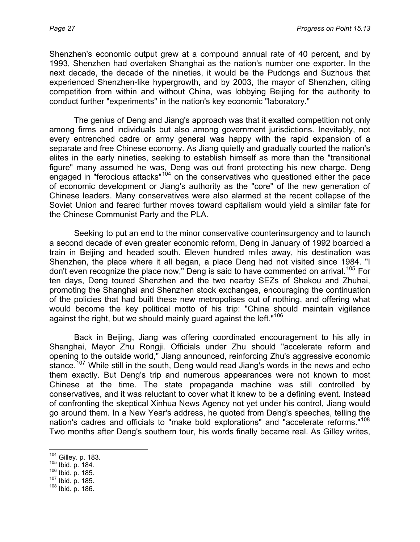Shenzhen's economic output grew at a compound annual rate of 40 percent, and by 1993, Shenzhen had overtaken Shanghai as the nation's number one exporter. In the next decade, the decade of the nineties, it would be the Pudongs and Suzhous that experienced Shenzhen-like hypergrowth, and by 2003, the mayor of Shenzhen, citing competition from within and without China, was lobbying Beijing for the authority to conduct further "experiments" in the nation's key economic "laboratory."

The genius of Deng and Jiang's approach was that it exalted competition not only among firms and individuals but also among government jurisdictions. Inevitably, not every entrenched cadre or army general was happy with the rapid expansion of a separate and free Chinese economy. As Jiang quietly and gradually courted the nation's elites in the early nineties, seeking to establish himself as more than the "transitional figure" many assumed he was, Deng was out front protecting his new charge. Deng engaged in "ferocious attacks"<sup>[104](#page-26-0)</sup> on the conservatives who questioned either the pace of economic development or Jiang's authority as the "core" of the new generation of Chinese leaders. Many conservatives were also alarmed at the recent collapse of the Soviet Union and feared further moves toward capitalism would yield a similar fate for the Chinese Communist Party and the PLA.

Seeking to put an end to the minor conservative counterinsurgency and to launch a second decade of even greater economic reform, Deng in January of 1992 boarded a train in Beijing and headed south. Eleven hundred miles away, his destination was Shenzhen, the place where it all began, a place Deng had not visited since 1984. "I don't even recognize the place now," Deng is said to have commented on arrival.<sup>[105](#page-26-1)</sup> For ten days, Deng toured Shenzhen and the two nearby SEZs of Shekou and Zhuhai, promoting the Shanghai and Shenzhen stock exchanges, encouraging the continuation of the policies that had built these new metropolises out of nothing, and offering what would become the key political motto of his trip: "China should maintain vigilance against the right, but we should mainly guard against the left."<sup>[106](#page-26-2)</sup>

Back in Beijing, Jiang was offering coordinated encouragement to his ally in Shanghai, Mayor Zhu Rongji. Officials under Zhu should "accelerate reform and opening to the outside world," Jiang announced, reinforcing Zhu's aggressive economic stance.<sup>[107](#page-26-3)</sup> While still in the south, Deng would read Jiang's words in the news and echo them exactly. But Deng's trip and numerous appearances were not known to most Chinese at the time. The state propaganda machine was still controlled by conservatives, and it was reluctant to cover what it knew to be a defining event. Instead of confronting the skeptical Xinhua News Agency not yet under his control, Jiang would go around them. In a New Year's address, he quoted from Deng's speeches, telling the nation's cadres and officials to "make bold explorations" and "accelerate reforms."[108](#page-26-4) Two months after Deng's southern tour, his words finally became real. As Gilley writes,

- <span id="page-26-2"></span><span id="page-26-1"></span>105 **Ibid. p. 184.**<br>
106 **Ibid. p. 185.**<br>
107 **Ibid. p. 185.**<br>
108 **Ibid. p. 186.**
- <span id="page-26-3"></span>

<span id="page-26-0"></span> $104$  Gilley. p. 183.

<span id="page-26-4"></span>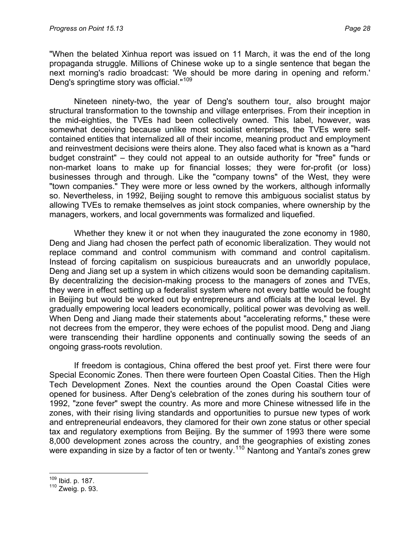"When the belated Xinhua report was issued on 11 March, it was the end of the long propaganda struggle. Millions of Chinese woke up to a single sentence that began the next morning's radio broadcast: 'We should be more daring in opening and reform.' Deng's springtime story was official."[109](#page-27-0)

Nineteen ninety-two, the year of Deng's southern tour, also brought major structural transformation to the township and village enterprises. From their inception in the mid-eighties, the TVEs had been collectively owned. This label, however, was somewhat deceiving because unlike most socialist enterprises, the TVEs were selfcontained entities that internalized all of their income, meaning product and employment and reinvestment decisions were theirs alone. They also faced what is known as a "hard budget constraint" – they could not appeal to an outside authority for "free" funds or non-market loans to make up for financial losses; they were for-profit (or loss) businesses through and through. Like the "company towns" of the West, they were "town companies." They were more or less owned by the workers, although informally so. Nevertheless, in 1992, Beijing sought to remove this ambiguous socialist status by allowing TVEs to remake themselves as joint stock companies, where ownership by the managers, workers, and local governments was formalized and liquefied.

Whether they knew it or not when they inaugurated the zone economy in 1980, Deng and Jiang had chosen the perfect path of economic liberalization. They would not replace command and control communism with command and control capitalism. Instead of forcing capitalism on suspicious bureaucrats and an unworldly populace, Deng and Jiang set up a system in which citizens would soon be demanding capitalism. By decentralizing the decision-making process to the managers of zones and TVEs, they were in effect setting up a federalist system where not every battle would be fought in Beijing but would be worked out by entrepreneurs and officials at the local level. By gradually empowering local leaders economically, political power was devolving as well. When Deng and Jiang made their statements about "accelerating reforms," these were not decrees from the emperor, they were echoes of the populist mood. Deng and Jiang were transcending their hardline opponents and continually sowing the seeds of an ongoing grass-roots revolution.

If freedom is contagious, China offered the best proof yet. First there were four Special Economic Zones. Then there were fourteen Open Coastal Cities. Then the High Tech Development Zones. Next the counties around the Open Coastal Cities were opened for business. After Deng's celebration of the zones during his southern tour of 1992, "zone fever" swept the country. As more and more Chinese witnessed life in the zones, with their rising living standards and opportunities to pursue new types of work and entrepreneurial endeavors, they clamored for their own zone status or other special tax and regulatory exemptions from Beijing. By the summer of 1993 there were some 8,000 development zones across the country, and the geographies of existing zones were expanding in size by a factor of ten or twenty.<sup>[110](#page-27-1)</sup> Nantong and Yantai's zones grew

<span id="page-27-0"></span><sup>109</sup> Ibid. p. 187.

<span id="page-27-1"></span> $110$  Zweig. p. 93.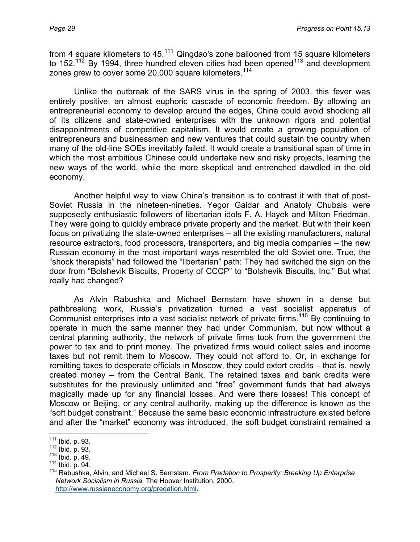from 4 square kilometers to  $45^{111}$  $45^{111}$  $45^{111}$  Qingdao's zone ballooned from 15 square kilometers to 152.<sup>[112](#page-28-1)</sup> By 1994, three hundred eleven cities had been opened<sup>[113](#page-28-2)</sup> and development zones grew to cover some 20,000 square kilometers.<sup>[114](#page-28-3)</sup>

Unlike the outbreak of the SARS virus in the spring of 2003, this fever was entirely positive, an almost euphoric cascade of economic freedom. By allowing an entrepreneurial economy to develop around the edges, China could avoid shocking all of its citizens and state-owned enterprises with the unknown rigors and potential disappointments of competitive capitalism. It would create a growing population of entrepreneurs and businessmen and new ventures that could sustain the country when many of the old-line SOEs inevitably failed. It would create a transitional span of time in which the most ambitious Chinese could undertake new and risky projects, learning the new ways of the world, while the more skeptical and entrenched dawdled in the old economy.

Another helpful way to view China's transition is to contrast it with that of post-Soviet Russia in the nineteen-nineties. Yegor Gaidar and Anatoly Chubais were supposedly enthusiastic followers of libertarian idols F. A. Hayek and Milton Friedman. They were going to quickly embrace private property and the market. But with their keen focus on privatizing the state-owned enterprises – all the existing manufacturers, natural resource extractors, food processors, transporters, and big media companies – the new Russian economy in the most important ways resembled the old Soviet one. True, the "shock therapists" had followed the "libertarian" path: They had switched the sign on the door from "Bolshevik Biscuits, Property of CCCP" to "Bolshevik Biscuits, Inc." But what really had changed?

As Alvin Rabushka and Michael Bernstam have shown in a dense but pathbreaking work, Russia's privatization turned a vast socialist apparatus of Communist enterprises into a vast socialist network of private firms.<sup>[115](#page-28-4)</sup> By continuing to operate in much the same manner they had under Communism, but now without a central planning authority, the network of private firms took from the government the power to tax and to print money. The privatized firms would collect sales and income taxes but not remit them to Moscow. They could not afford to. Or, in exchange for remitting taxes to desperate officials in Moscow, they could extort credits – that is, newly created money – from the Central Bank. The retained taxes and bank credits were substitutes for the previously unlimited and "free" government funds that had always magically made up for any financial losses. And were there losses! This concept of Moscow or Beijing, or any central authority, making up the difference is known as the "soft budget constraint." Because the same basic economic infrastructure existed before and after the "market" economy was introduced, the soft budget constraint remained a

<span id="page-28-0"></span><sup>&</sup>lt;sup>111</sup> Ibid. p. 93.

<span id="page-28-4"></span><span id="page-28-3"></span>

<span id="page-28-2"></span><span id="page-28-1"></span><sup>112</sup> Ibid. p. 93.<br><sup>113</sup> Ibid. p. 49.<br><sup>114</sup> Ibid. p. 94. 114 Ibid. p. 94. 114 Ibid. p. 94. 115 Rabushka, Alvin, and Michael S. Bernstam. *From Predation to Prosperity: Breaking Up Enterprise Network Socialism in Russia*. The Hoover Institution, 2000. [http://www.russianeconomy.org/predation.html.](http://www.russianeconomy.org/predation.html)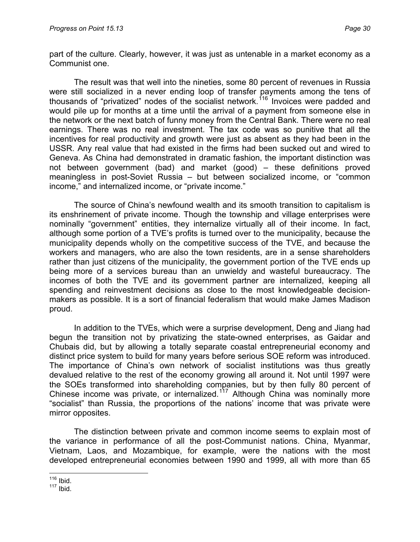part of the culture. Clearly, however, it was just as untenable in a market economy as a Communist one.

The result was that well into the nineties, some 80 percent of revenues in Russia were still socialized in a never ending loop of transfer payments among the tens of thousands of "privatized" nodes of the socialist network.<sup>[116](#page-29-0)</sup> Invoices were padded and would pile up for months at a time until the arrival of a payment from someone else in the network or the next batch of funny money from the Central Bank. There were no real earnings. There was no real investment. The tax code was so punitive that all the incentives for real productivity and growth were just as absent as they had been in the USSR. Any real value that had existed in the firms had been sucked out and wired to Geneva. As China had demonstrated in dramatic fashion, the important distinction was not between government (bad) and market (good) – these definitions proved meaningless in post-Soviet Russia – but between socialized income, or "common income," and internalized income, or "private income."

The source of China's newfound wealth and its smooth transition to capitalism is its enshrinement of private income. Though the township and village enterprises were nominally "government" entities, they internalize virtually all of their income. In fact, although some portion of a TVE's profits is turned over to the municipality, because the municipality depends wholly on the competitive success of the TVE, and because the workers and managers, who are also the town residents, are in a sense shareholders rather than just citizens of the municipality, the government portion of the TVE ends up being more of a services bureau than an unwieldy and wasteful bureaucracy. The incomes of both the TVE and its government partner are internalized, keeping all spending and reinvestment decisions as close to the most knowledgeable decisionmakers as possible. It is a sort of financial federalism that would make James Madison proud.

In addition to the TVEs, which were a surprise development, Deng and Jiang had begun the transition not by privatizing the state-owned enterprises, as Gaidar and Chubais did, but by allowing a totally separate coastal entrepreneurial economy and distinct price system to build for many years before serious SOE reform was introduced. The importance of China's own network of socialist institutions was thus greatly devalued relative to the rest of the economy growing all around it. Not until 1997 were the SOEs transformed into shareholding companies, but by then fully 80 percent of Chinese income was private, or internalized.<sup>[117](#page-29-1)</sup> Although China was nominally more "socialist" than Russia, the proportions of the nations' income that was private were mirror opposites.

The distinction between private and common income seems to explain most of the variance in performance of all the post-Communist nations. China, Myanmar, Vietnam, Laos, and Mozambique, for example, were the nations with the most developed entrepreneurial economies between 1990 and 1999, all with more than 65

 $\overline{a}$ <sup>116</sup> Ibid.

<span id="page-29-1"></span><span id="page-29-0"></span> $117$  Ibid.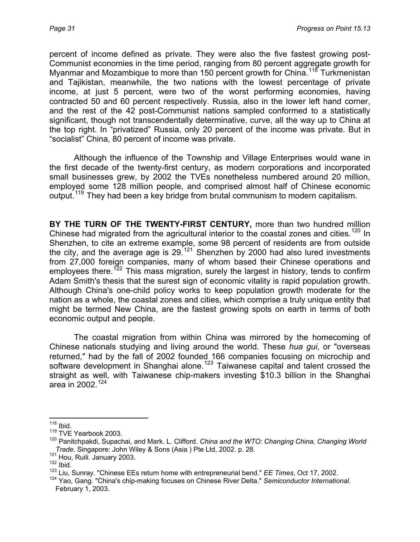percent of income defined as private. They were also the five fastest growing post-Communist economies in the time period, ranging from 80 percent aggregate growth for Myanmar and Mozambique to more than 150 percent growth for China.<sup>[118](#page-30-0)</sup> Turkmenistan and Tajikistan, meanwhile, the two nations with the lowest percentage of private income, at just 5 percent, were two of the worst performing economies, having contracted 50 and 60 percent respectively. Russia, also in the lower left hand corner, and the rest of the 42 post-Communist nations sampled conformed to a statistically significant, though not transcendentally determinative, curve, all the way up to China at the top right. In "privatized" Russia, only 20 percent of the income was private. But in "socialist" China, 80 percent of income was private.

Although the influence of the Township and Village Enterprises would wane in the first decade of the twenty-first century, as modern corporations and incorporated small businesses grew, by 2002 the TVEs nonetheless numbered around 20 million, employed some 128 million people, and comprised almost half of Chinese economic output.[119](#page-30-1) They had been a key bridge from brutal communism to modern capitalism.

**BY THE TURN OF THE TWENTY-FIRST CENTURY,** more than two hundred million Chinese had migrated from the agricultural interior to the coastal zones and cities.<sup>[120](#page-30-2)</sup> In Shenzhen, to cite an extreme example, some 98 percent of residents are from outside the city, and the average age is 29.<sup>[121](#page-30-3)</sup> Shenzhen by 2000 had also lured investments from 27,000 foreign companies, many of whom based their Chinese operations and employees there.<sup>[122](#page-30-4)</sup> This mass migration, surely the largest in history, tends to confirm Adam Smith's thesis that the surest sign of economic vitality is rapid population growth. Although China's one-child policy works to keep population growth moderate for the nation as a whole, the coastal zones and cities, which comprise a truly unique entity that might be termed New China, are the fastest growing spots on earth in terms of both economic output and people.

The coastal migration from within China was mirrored by the homecoming of Chinese nationals studying and living around the world. These *hua gui*, or "overseas returned," had by the fall of 2002 founded 166 companies focusing on microchip and software development in Shanghai alone.<sup>[123](#page-30-5)</sup> Taiwanese capital and talent crossed the straight as well, with Taiwanese chip-makers investing \$10.3 billion in the Shanghai area in 2002.<sup>[124](#page-30-6)</sup>

 $\overline{a}$  $118$  Ibid.

<span id="page-30-0"></span><sup>&</sup>lt;sup>119</sup> TVE Yearbook 2003.

<span id="page-30-2"></span><span id="page-30-1"></span><sup>120</sup> Panitchpakdi, Supachai, and Mark. L. Clifford. *China and the WTO: Changing China, Changing World Trade*. Singapore: John Wiley & Sons (Asia ) Pte Ltd, 2002. p. 28.<br><sup>121</sup> Hou, Ruili. January 2003.<br><sup>122</sup> Ibid.

<span id="page-30-3"></span>

<span id="page-30-5"></span><span id="page-30-4"></span><sup>123</sup> Liu, Sunray. "Chinese EEs return home with entrepreneurial bend." *EE Times*, Oct 17, 2002.

<span id="page-30-6"></span><sup>124</sup> Yao, Gang. "China's chip-making focuses on Chinese River Delta." *Semiconductor International*. February 1, 2003.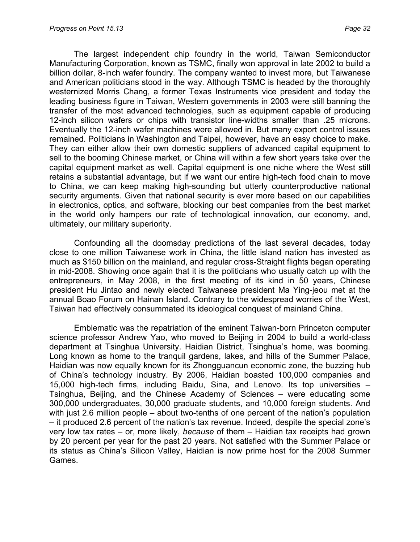The largest independent chip foundry in the world, Taiwan Semiconductor Manufacturing Corporation, known as TSMC, finally won approval in late 2002 to build a billion dollar, 8-inch wafer foundry. The company wanted to invest more, but Taiwanese and American politicians stood in the way. Although TSMC is headed by the thoroughly westernized Morris Chang, a former Texas Instruments vice president and today the leading business figure in Taiwan, Western governments in 2003 were still banning the transfer of the most advanced technologies, such as equipment capable of producing 12-inch silicon wafers or chips with transistor line-widths smaller than .25 microns. Eventually the 12-inch wafer machines were allowed in. But many export control issues remained. Politicians in Washington and Taipei, however, have an easy choice to make. They can either allow their own domestic suppliers of advanced capital equipment to sell to the booming Chinese market, or China will within a few short years take over the capital equipment market as well. Capital equipment is one niche where the West still retains a substantial advantage, but if we want our entire high-tech food chain to move to China, we can keep making high-sounding but utterly counterproductive national security arguments. Given that national security is ever more based on our capabilities in electronics, optics, and software, blocking our best companies from the best market in the world only hampers our rate of technological innovation, our economy, and, ultimately, our military superiority.

Confounding all the doomsday predictions of the last several decades, today close to one million Taiwanese work in China, the little island nation has invested as much as \$150 billion on the mainland, and regular cross-Straight flights began operating in mid-2008. Showing once again that it is the politicians who usually catch up with the entrepreneurs, in May 2008, in the first meeting of its kind in 50 years, Chinese president Hu Jintao and newly elected Taiwanese president Ma Ying-jeou met at the annual Boao Forum on Hainan Island. Contrary to the widespread worries of the West, Taiwan had effectively consummated its ideological conquest of mainland China.

Emblematic was the repatriation of the eminent Taiwan-born Princeton computer science professor Andrew Yao, who moved to Beijing in 2004 to build a world-class department at Tsinghua University. Haidian District, Tsinghua's home, was booming. Long known as home to the tranquil gardens, lakes, and hills of the Summer Palace, Haidian was now equally known for its Zhongguancun economic zone, the buzzing hub of China's technology industry. By 2006, Haidian boasted 100,000 companies and 15,000 high-tech firms, including Baidu, Sina, and Lenovo. Its top universities – Tsinghua, Beijing, and the Chinese Academy of Sciences – were educating some 300,000 undergraduates, 30,000 graduate students, and 10,000 foreign students. And with just 2.6 million people – about two-tenths of one percent of the nation's population – it produced 2.6 percent of the nation's tax revenue. Indeed, despite the special zone's very low tax rates – or, more likely, *because* of them – Haidian tax receipts had grown by 20 percent per year for the past 20 years. Not satisfied with the Summer Palace or its status as China's Silicon Valley, Haidian is now prime host for the 2008 Summer Games.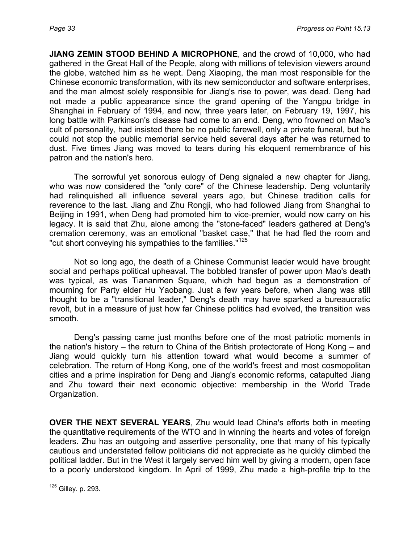**JIANG ZEMIN STOOD BEHIND A MICROPHONE**, and the crowd of 10,000, who had gathered in the Great Hall of the People, along with millions of television viewers around the globe, watched him as he wept. Deng Xiaoping, the man most responsible for the Chinese economic transformation, with its new semiconductor and software enterprises, and the man almost solely responsible for Jiang's rise to power, was dead. Deng had not made a public appearance since the grand opening of the Yangpu bridge in Shanghai in February of 1994, and now, three years later, on February 19, 1997, his long battle with Parkinson's disease had come to an end. Deng, who frowned on Mao's cult of personality, had insisted there be no public farewell, only a private funeral, but he could not stop the public memorial service held several days after he was returned to dust. Five times Jiang was moved to tears during his eloquent remembrance of his patron and the nation's hero.

The sorrowful yet sonorous eulogy of Deng signaled a new chapter for Jiang, who was now considered the "only core" of the Chinese leadership. Deng voluntarily had relinquished all influence several years ago, but Chinese tradition calls for reverence to the last. Jiang and Zhu Rongji, who had followed Jiang from Shanghai to Beijing in 1991, when Deng had promoted him to vice-premier, would now carry on his legacy. It is said that Zhu, alone among the "stone-faced" leaders gathered at Deng's cremation ceremony, was an emotional "basket case," that he had fled the room and "cut short conveying his sympathies to the families."<sup>[125](#page-32-0)</sup>

Not so long ago, the death of a Chinese Communist leader would have brought social and perhaps political upheaval. The bobbled transfer of power upon Mao's death was typical, as was Tiananmen Square, which had begun as a demonstration of mourning for Party elder Hu Yaobang. Just a few years before, when Jiang was still thought to be a "transitional leader," Deng's death may have sparked a bureaucratic revolt, but in a measure of just how far Chinese politics had evolved, the transition was smooth.

Deng's passing came just months before one of the most patriotic moments in the nation's history – the return to China of the British protectorate of Hong Kong – and Jiang would quickly turn his attention toward what would become a summer of celebration. The return of Hong Kong, one of the world's freest and most cosmopolitan cities and a prime inspiration for Deng and Jiang's economic reforms, catapulted Jiang and Zhu toward their next economic objective: membership in the World Trade Organization.

**OVER THE NEXT SEVERAL YEARS**, Zhu would lead China's efforts both in meeting the quantitative requirements of the WTO and in winning the hearts and votes of foreign leaders. Zhu has an outgoing and assertive personality, one that many of his typically cautious and understated fellow politicians did not appreciate as he quickly climbed the political ladder. But in the West it largely served him well by giving a modern, open face to a poorly understood kingdom. In April of 1999, Zhu made a high-profile trip to the

<span id="page-32-0"></span> $\overline{a}$  $125$  Gilley. p. 293.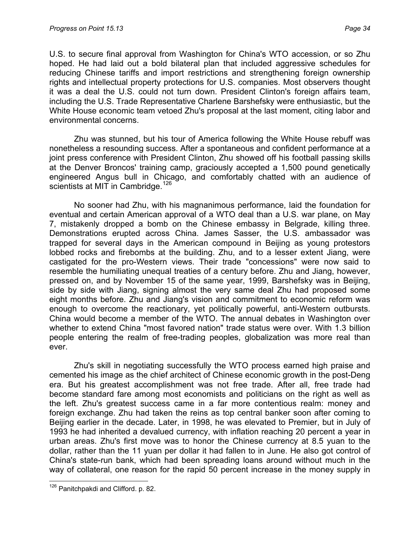U.S. to secure final approval from Washington for China's WTO accession, or so Zhu hoped. He had laid out a bold bilateral plan that included aggressive schedules for reducing Chinese tariffs and import restrictions and strengthening foreign ownership rights and intellectual property protections for U.S. companies. Most observers thought it was a deal the U.S. could not turn down. President Clinton's foreign affairs team, including the U.S. Trade Representative Charlene Barshefsky were enthusiastic, but the White House economic team vetoed Zhu's proposal at the last moment, citing labor and environmental concerns.

Zhu was stunned, but his tour of America following the White House rebuff was nonetheless a resounding success. After a spontaneous and confident performance at a joint press conference with President Clinton, Zhu showed off his football passing skills at the Denver Broncos' training camp, graciously accepted a 1,500 pound genetically engineered Angus bull in Chicago, and comfortably chatted with an audience of scientists at MIT in Cambridge.<sup>[126](#page-33-0)</sup>

No sooner had Zhu, with his magnanimous performance, laid the foundation for eventual and certain American approval of a WTO deal than a U.S. war plane, on May 7, mistakenly dropped a bomb on the Chinese embassy in Belgrade, killing three. Demonstrations erupted across China. James Sasser, the U.S. ambassador was trapped for several days in the American compound in Beijing as young protestors lobbed rocks and firebombs at the building. Zhu, and to a lesser extent Jiang, were castigated for the pro-Western views. Their trade "concessions" were now said to resemble the humiliating unequal treaties of a century before. Zhu and Jiang, however, pressed on, and by November 15 of the same year, 1999, Barshefsky was in Beijing, side by side with Jiang, signing almost the very same deal Zhu had proposed some eight months before. Zhu and Jiang's vision and commitment to economic reform was enough to overcome the reactionary, yet politically powerful, anti-Western outbursts. China would become a member of the WTO. The annual debates in Washington over whether to extend China "most favored nation" trade status were over. With 1.3 billion people entering the realm of free-trading peoples, globalization was more real than ever.

Zhu's skill in negotiating successfully the WTO process earned high praise and cemented his image as the chief architect of Chinese economic growth in the post-Deng era. But his greatest accomplishment was not free trade. After all, free trade had become standard fare among most economists and politicians on the right as well as the left. Zhu's greatest success came in a far more contentious realm: money and foreign exchange. Zhu had taken the reins as top central banker soon after coming to Beijing earlier in the decade. Later, in 1998, he was elevated to Premier, but in July of 1993 he had inherited a devalued currency, with inflation reaching 20 percent a year in urban areas. Zhu's first move was to honor the Chinese currency at 8.5 yuan to the dollar, rather than the 11 yuan per dollar it had fallen to in June. He also got control of China's state-run bank, which had been spreading loans around without much in the way of collateral, one reason for the rapid 50 percent increase in the money supply in

<span id="page-33-0"></span> $\overline{a}$ <sup>126</sup> Panitchpakdi and Clifford. p. 82.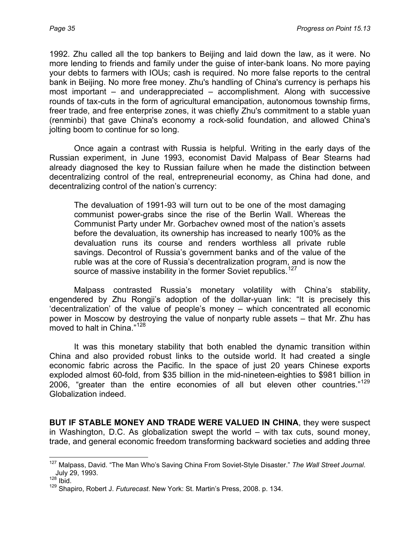1992. Zhu called all the top bankers to Beijing and laid down the law, as it were. No more lending to friends and family under the guise of inter-bank loans. No more paying your debts to farmers with IOUs; cash is required. No more false reports to the central bank in Beijing. No more free money. Zhu's handling of China's currency is perhaps his most important – and underappreciated – accomplishment. Along with successive rounds of tax-cuts in the form of agricultural emancipation, autonomous township firms, freer trade, and free enterprise zones, it was chiefly Zhu's commitment to a stable yuan (renminbi) that gave China's economy a rock-solid foundation, and allowed China's jolting boom to continue for so long.

Once again a contrast with Russia is helpful. Writing in the early days of the Russian experiment, in June 1993, economist David Malpass of Bear Stearns had already diagnosed the key to Russian failure when he made the distinction between decentralizing control of the real, entrepreneurial economy, as China had done, and decentralizing control of the nation's currency:

The devaluation of 1991-93 will turn out to be one of the most damaging communist power-grabs since the rise of the Berlin Wall. Whereas the Communist Party under Mr. Gorbachev owned most of the nation's assets before the devaluation, its ownership has increased to nearly 100% as the devaluation runs its course and renders worthless all private ruble savings. Decontrol of Russia's government banks and of the value of the ruble was at the core of Russia's decentralization program, and is now the source of massive instability in the former Soviet republics.<sup>[127](#page-34-0)</sup>

Malpass contrasted Russia's monetary volatility with China's stability, engendered by Zhu Rongji's adoption of the dollar-yuan link: "It is precisely this 'decentralization' of the value of people's money – which concentrated all economic power in Moscow by destroying the value of nonparty ruble assets – that Mr. Zhu has moved to halt in China."[128](#page-34-1)

It was this monetary stability that both enabled the dynamic transition within China and also provided robust links to the outside world. It had created a single economic fabric across the Pacific. In the space of just 20 years Chinese exports exploded almost 60-fold, from \$35 billion in the mid-nineteen-eighties to \$981 billion in 2006, "greater than the entire economies of all but eleven other countries."<sup>[129](#page-34-2)</sup> Globalization indeed.

**BUT IF STABLE MONEY AND TRADE WERE VALUED IN CHINA**, they were suspect in Washington, D.C. As globalization swept the world – with tax cuts, sound money, trade, and general economic freedom transforming backward societies and adding three

<span id="page-34-0"></span><sup>&</sup>lt;u>.</u> 127 Malpass, David. "The Man Who's Saving China From Soviet-Style Disaster." *The Wall Street Journal*. July 29, 1993.<br><sup>128</sup> Ibid.

<span id="page-34-1"></span>

<span id="page-34-2"></span><sup>129</sup> Shapiro, Robert J. *Futurecast*. New York: St. Martin's Press, 2008. p. 134.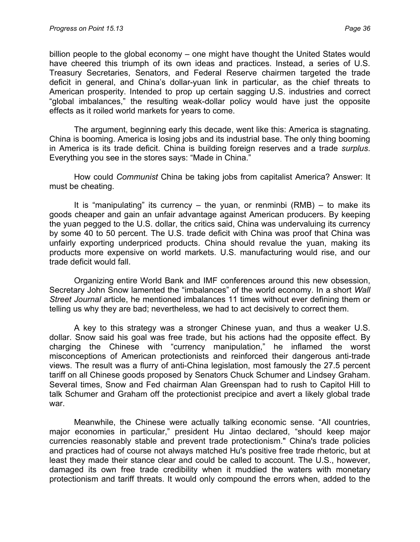billion people to the global economy – one might have thought the United States would have cheered this triumph of its own ideas and practices. Instead, a series of U.S. Treasury Secretaries, Senators, and Federal Reserve chairmen targeted the trade deficit in general, and China's dollar-yuan link in particular, as the chief threats to American prosperity. Intended to prop up certain sagging U.S. industries and correct "global imbalances," the resulting weak-dollar policy would have just the opposite effects as it roiled world markets for years to come.

The argument, beginning early this decade, went like this: America is stagnating. China is booming. America is losing jobs and its industrial base. The only thing booming in America is its trade deficit. China is building foreign reserves and a trade *surplus*. Everything you see in the stores says: "Made in China."

How could *Communist* China be taking jobs from capitalist America? Answer: It must be cheating.

It is "manipulating" its currency  $-$  the yuan, or renminbi (RMB)  $-$  to make its goods cheaper and gain an unfair advantage against American producers. By keeping the yuan pegged to the U.S. dollar, the critics said, China was undervaluing its currency by some 40 to 50 percent. The U.S. trade deficit with China was proof that China was unfairly exporting underpriced products. China should revalue the yuan, making its products more expensive on world markets. U.S. manufacturing would rise, and our trade deficit would fall.

Organizing entire World Bank and IMF conferences around this new obsession, Secretary John Snow lamented the "imbalances" of the world economy. In a short *Wall Street Journal* article, he mentioned imbalances 11 times without ever defining them or telling us why they are bad; nevertheless, we had to act decisively to correct them.

A key to this strategy was a stronger Chinese yuan, and thus a weaker U.S. dollar. Snow said his goal was free trade, but his actions had the opposite effect. By charging the Chinese with "currency manipulation," he inflamed the worst misconceptions of American protectionists and reinforced their dangerous anti-trade views. The result was a flurry of anti-China legislation, most famously the 27.5 percent tariff on all Chinese goods proposed by Senators Chuck Schumer and Lindsey Graham. Several times, Snow and Fed chairman Alan Greenspan had to rush to Capitol Hill to talk Schumer and Graham off the protectionist precipice and avert a likely global trade war.

Meanwhile, the Chinese were actually talking economic sense. "All countries, major economies in particular," president Hu Jintao declared, "should keep major currencies reasonably stable and prevent trade protectionism." China's trade policies and practices had of course not always matched Hu's positive free trade rhetoric, but at least they made their stance clear and could be called to account. The U.S., however, damaged its own free trade credibility when it muddied the waters with monetary protectionism and tariff threats. It would only compound the errors when, added to the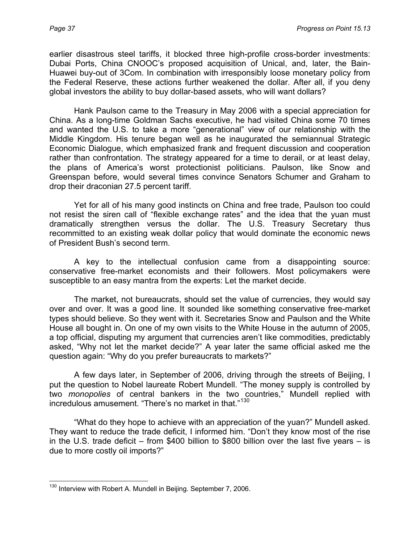earlier disastrous steel tariffs, it blocked three high-profile cross-border investments: Dubai Ports, China CNOOC's proposed acquisition of Unical, and, later, the Bain-Huawei buy-out of 3Com. In combination with irresponsibly loose monetary policy from the Federal Reserve, these actions further weakened the dollar. After all, if you deny global investors the ability to buy dollar-based assets, who will want dollars?

Hank Paulson came to the Treasury in May 2006 with a special appreciation for China. As a long-time Goldman Sachs executive, he had visited China some 70 times and wanted the U.S. to take a more "generational" view of our relationship with the Middle Kingdom. His tenure began well as he inaugurated the semiannual Strategic Economic Dialogue, which emphasized frank and frequent discussion and cooperation rather than confrontation. The strategy appeared for a time to derail, or at least delay, the plans of America's worst protectionist politicians. Paulson, like Snow and Greenspan before, would several times convince Senators Schumer and Graham to drop their draconian 27.5 percent tariff.

Yet for all of his many good instincts on China and free trade, Paulson too could not resist the siren call of "flexible exchange rates" and the idea that the yuan must dramatically strengthen versus the dollar. The U.S. Treasury Secretary thus recommitted to an existing weak dollar policy that would dominate the economic news of President Bush's second term.

A key to the intellectual confusion came from a disappointing source: conservative free-market economists and their followers. Most policymakers were susceptible to an easy mantra from the experts: Let the market decide.

The market, not bureaucrats, should set the value of currencies, they would say over and over. It was a good line. It sounded like something conservative free-market types should believe. So they went with it. Secretaries Snow and Paulson and the White House all bought in. On one of my own visits to the White House in the autumn of 2005, a top official, disputing my argument that currencies aren't like commodities, predictably asked, "Why not let the market decide?" A year later the same official asked me the question again: "Why do you prefer bureaucrats to markets?"

A few days later, in September of 2006, driving through the streets of Beijing, I put the question to Nobel laureate Robert Mundell. "The money supply is controlled by two *monopolies* of central bankers in the two countries," Mundell replied with incredulous amusement. "There's no market in that."<sup>[130](#page-36-0)</sup>

"What do they hope to achieve with an appreciation of the yuan?" Mundell asked. They want to reduce the trade deficit, I informed him. "Don't they know most of the rise in the U.S. trade deficit – from \$400 billion to \$800 billion over the last five years – is due to more costly oil imports?"

<span id="page-36-0"></span> $\overline{a}$  $130$  Interview with Robert A. Mundell in Beijing. September 7, 2006.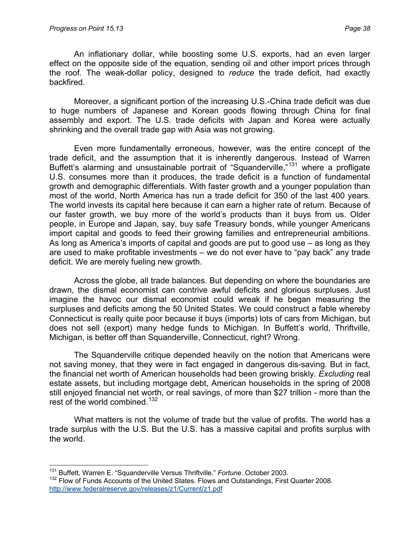$\overline{a}$ 

An inflationary dollar, while boosting some U.S. exports, had an even larger effect on the opposite side of the equation, sending oil and other import prices through the roof. The weak-dollar policy, designed to *reduce* the trade deficit, had exactly backfired.

Moreover, a significant portion of the increasing U.S.-China trade deficit was due to huge numbers of Japanese and Korean goods flowing through China for final assembly and export. The U.S. trade deficits with Japan and Korea were actually shrinking and the overall trade gap with Asia was not growing.

Even more fundamentally erroneous, however, was the entire concept of the trade deficit, and the assumption that it is inherently dangerous. Instead of Warren Buffett's alarming and unsustainable portrait of "Squanderville,"<sup>[131](#page-37-0)</sup> where a profligate U.S. consumes more than it produces, the trade deficit is a function of fundamental growth and demographic differentials. With faster growth and a younger population than most of the world, North America has run a trade deficit for 350 of the last 400 years. The world invests its capital here because it can earn a higher rate of return. Because of our faster growth, we buy more of the world's products than it buys from us. Older people, in Europe and Japan, say, buy safe Treasury bonds, while younger Americans import capital and goods to feed their growing families and entrepreneurial ambitions. As long as America's imports of capital and goods are put to good use – as long as they are used to make profitable investments – we do not ever have to "pay back" any trade deficit. We are merely fueling new growth.

Across the globe, all trade balances. But depending on where the boundaries are drawn, the dismal economist can contrive awful deficits and glorious surpluses. Just imagine the havoc our dismal economist could wreak if he began measuring the surpluses and deficits among the 50 United States. We could construct a fable whereby Connecticut is really quite poor because it buys (imports) lots of cars from Michigan, but does not sell (export) many hedge funds to Michigan. In Buffett's world, Thriftville, Michigan, is better off than Squanderville, Connecticut, right? Wrong.

The Squanderville critique depended heavily on the notion that Americans were not saving money, that they were in fact engaged in dangerous dis-saving. But in fact, the financial net worth of American households had been growing briskly. *Excluding* real estate assets, but including mortgage debt, American households in the spring of 2008 still enjoyed financial net worth, or real savings, of more than \$27 trillion - more than the rest of the world combined.<sup>[132](#page-37-1)</sup>

What matters is not the volume of trade but the value of profits. The world has a trade surplus with the U.S. But the U.S. has a massive capital and profits surplus with the world.

<span id="page-37-1"></span><span id="page-37-0"></span><sup>131</sup> Buffett, Warren E. "Squanderville Versus Thriftville." *Fortune*. October 2003. <sup>132</sup> Flow of Funds Accounts of the United States. Flows and Outstandings, First Quarter 2008. <http://www.federalreserve.gov/releases/z1/Current/z1.pdf>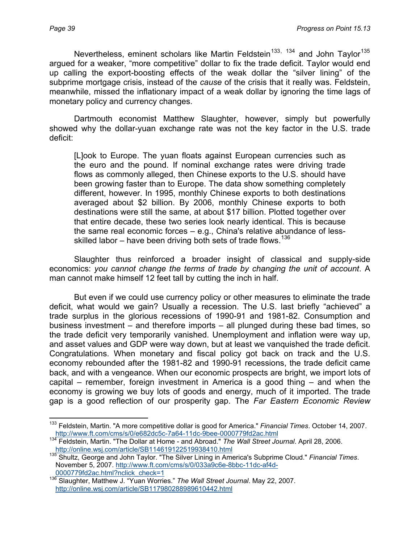Nevertheless, eminent scholars like Martin Feldstein<sup>[133](#page-38-0), [134](#page-38-1)</sup> and John Taylor<sup>[135](#page-38-2)</sup> argued for a weaker, "more competitive" dollar to fix the trade deficit. Taylor would end up calling the export-boosting effects of the weak dollar the "silver lining" of the subprime mortgage crisis, instead of the *cause* of the crisis that it really was. Feldstein, meanwhile, missed the inflationary impact of a weak dollar by ignoring the time lags of monetary policy and currency changes.

Dartmouth economist Matthew Slaughter, however, simply but powerfully showed why the dollar-yuan exchange rate was not the key factor in the U.S. trade deficit:

[L]ook to Europe. The yuan floats against European currencies such as the euro and the pound. If nominal exchange rates were driving trade flows as commonly alleged, then Chinese exports to the U.S. should have been growing faster than to Europe. The data show something completely different, however. In 1995, monthly Chinese exports to both destinations averaged about \$2 billion. By 2006, monthly Chinese exports to both destinations were still the same, at about \$17 billion. Plotted together over that entire decade, these two series look nearly identical. This is because the same real economic forces – e.g., China's relative abundance of less-skilled labor – have been driving both sets of trade flows.<sup>[136](#page-38-3)</sup>

Slaughter thus reinforced a broader insight of classical and supply-side economics: *you cannot change the terms of trade by changing the unit of account*. A man cannot make himself 12 feet tall by cutting the inch in half.

But even if we could use currency policy or other measures to eliminate the trade deficit, what would we gain? Usually a recession. The U.S. last briefly "achieved" a trade surplus in the glorious recessions of 1990-91 and 1981-82. Consumption and business investment – and therefore imports – all plunged during these bad times, so the trade deficit very temporarily vanished. Unemployment and inflation were way up, and asset values and GDP were way down, but at least we vanquished the trade deficit. Congratulations. When monetary and fiscal policy got back on track and the U.S. economy rebounded after the 1981-82 and 1990-91 recessions, the trade deficit came back, and with a vengeance. When our economic prospects are bright, we import lots of capital – remember, foreign investment in America is a good thing – and when the economy is growing we buy lots of goods and energy, much of it imported. The trade gap is a good reflection of our prosperity gap. The *Far Eastern Economic Review*

<span id="page-38-0"></span> $\overline{a}$ 133 Feldstein, Martin. "A more competitive dollar is good for America." *Financial Times*. October 14, 2007. <http://www.ft.com/cms/s/0/e682dc5c-7a64-11dc-9bee-0000779fd2ac.html>

<span id="page-38-1"></span><sup>134</sup> Feldstein, Martin. "The Dollar at Home - and Abroad." The Wall Street Journal. April 28, 2006.<br>http://online.wsj.com/article/SB114619122519938410.html

<span id="page-38-2"></span><http://online.wsj.com/article/SB114619122519938410.html> 135 Shultz, George and John Taylor. "The Silver Lining in America's Subprime Cloud." *Financial Times*. November 5, 2007. http://www.ft.com/cms/s/0/033a9c6e-8bbc-11dc-af4d-0000779fd2ac.html?nclick\_check=1

<span id="page-38-3"></span><sup>136</sup> Slaughter, Matthew J. "Yuan Worries." The Wall Street Journal. May 22, 2007. <http://online.wsj.com/article/SB117980288989610442.html>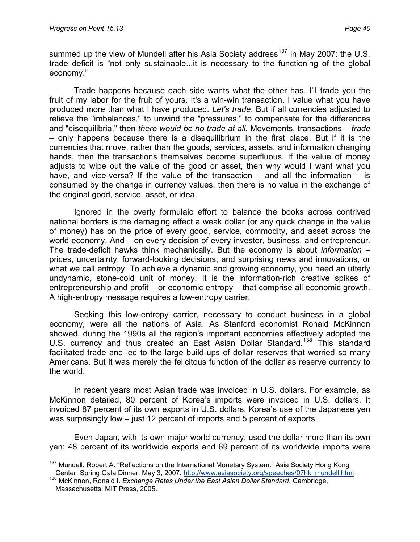$\overline{a}$ 

summed up the view of Mundell after his Asia Society address<sup>[137](#page-39-0)</sup> in May 2007: the U.S. trade deficit is "not only sustainable...it is necessary to the functioning of the global economy."

Trade happens because each side wants what the other has. I'll trade you the fruit of my labor for the fruit of yours. It's a win-win transaction. I value what you have produced more than what I have produced. *Let's trade*. But if all currencies adjusted to relieve the "imbalances," to unwind the "pressures," to compensate for the differences and "disequilibria," then *there would be no trade at all*. Movements, transactions – *trade* – only happens because there is a disequilibrium in the first place. But if it is the currencies that move, rather than the goods, services, assets, and information changing hands, then the transactions themselves become superfluous. If the value of money adjusts to wipe out the value of the good or asset, then why would I want what you have, and vice-versa? If the value of the transaction – and all the information – is consumed by the change in currency values, then there is no value in the exchange of the original good, service, asset, or idea.

Ignored in the overly formulaic effort to balance the books across contrived national borders is the damaging effect a weak dollar (or any quick change in the value of money) has on the price of every good, service, commodity, and asset across the world economy. And – on every decision of every investor, business, and entrepreneur. The trade-deficit hawks think mechanically. But the economy is about *information* – prices, uncertainty, forward-looking decisions, and surprising news and innovations, or what we call entropy. To achieve a dynamic and growing economy, you need an utterly undynamic, stone-cold unit of money. It is the information-rich creative spikes of entrepreneurship and profit – or economic entropy – that comprise all economic growth. A high-entropy message requires a low-entropy carrier.

Seeking this low-entropy carrier, necessary to conduct business in a global economy, were all the nations of Asia. As Stanford economist Ronald McKinnon showed, during the 1990s all the region's important economies effectively adopted the U.S. currency and thus created an East Asian Dollar Standard.<sup>[138](#page-39-1)</sup> This standard facilitated trade and led to the large build-ups of dollar reserves that worried so many Americans. But it was merely the felicitous function of the dollar as reserve currency to the world.

In recent years most Asian trade was invoiced in U.S. dollars. For example, as McKinnon detailed, 80 percent of Korea's imports were invoiced in U.S. dollars. It invoiced 87 percent of its own exports in U.S. dollars. Korea's use of the Japanese yen was surprisingly low – just 12 percent of imports and 5 percent of exports.

Even Japan, with its own major world currency, used the dollar more than its own yen: 48 percent of its worldwide exports and 69 percent of its worldwide imports were

<span id="page-39-0"></span><sup>&</sup>lt;sup>137</sup> Mundell, Robert A. "Reflections on the International Monetary System." Asia Society Hong Kong

<span id="page-39-1"></span>Center. Spring Gala Dinner. May 3, 2007. [http://www.asiasociety.org/speeches/07hk\\_mundell.html](http://www.asiasociety.org/speeches/07hk_mundell.html) 138 McKinnon, Ronald I. *Exchange Rates Under the East Asian Dollar Standard*. Cambridge, Massachusetts: MIT Press, 2005.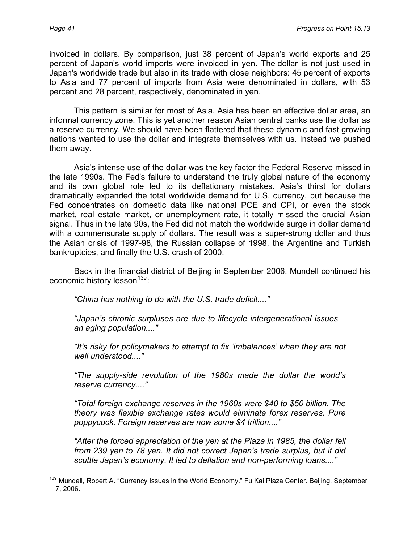invoiced in dollars. By comparison, just 38 percent of Japan's world exports and 25 percent of Japan's world imports were invoiced in yen. The dollar is not just used in Japan's worldwide trade but also in its trade with close neighbors: 45 percent of exports to Asia and 77 percent of imports from Asia were denominated in dollars, with 53 percent and 28 percent, respectively, denominated in yen.

This pattern is similar for most of Asia. Asia has been an effective dollar area, an informal currency zone. This is yet another reason Asian central banks use the dollar as a reserve currency. We should have been flattered that these dynamic and fast growing nations wanted to use the dollar and integrate themselves with us. Instead we pushed them away.

Asia's intense use of the dollar was the key factor the Federal Reserve missed in the late 1990s. The Fed's failure to understand the truly global nature of the economy and its own global role led to its deflationary mistakes. Asia's thirst for dollars dramatically expanded the total worldwide demand for U.S. currency, but because the Fed concentrates on domestic data like national PCE and CPI, or even the stock market, real estate market, or unemployment rate, it totally missed the crucial Asian signal. Thus in the late 90s, the Fed did not match the worldwide surge in dollar demand with a commensurate supply of dollars. The result was a super-strong dollar and thus the Asian crisis of 1997-98, the Russian collapse of 1998, the Argentine and Turkish bankruptcies, and finally the U.S. crash of 2000.

Back in the financial district of Beijing in September 2006, Mundell continued his economic history lesson<sup>[139](#page-40-0)</sup>:

*"China has nothing to do with the U.S. trade deficit...."*

*"Japan's chronic surpluses are due to lifecycle intergenerational issues – an aging population...."* 

*"It's risky for policymakers to attempt to fix 'imbalances' when they are not well understood...."* 

*"The supply-side revolution of the 1980s made the dollar the world's reserve currency...."* 

*"Total foreign exchange reserves in the 1960s were \$40 to \$50 billion. The theory was flexible exchange rates would eliminate forex reserves. Pure poppycock. Foreign reserves are now some \$4 trillion...."* 

*"After the forced appreciation of the yen at the Plaza in 1985, the dollar fell from 239 yen to 78 yen. It did not correct Japan's trade surplus, but it did scuttle Japan's economy. It led to deflation and non-performing loans...."*

<span id="page-40-0"></span> $\overline{a}$ <sup>139</sup> Mundell, Robert A. "Currency Issues in the World Economy." Fu Kai Plaza Center. Beijing. September 7, 2006.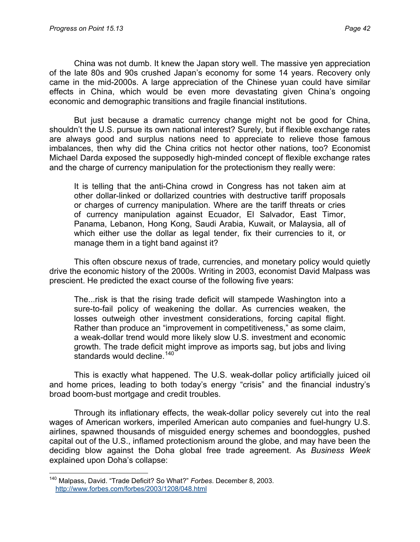China was not dumb. It knew the Japan story well. The massive yen appreciation of the late 80s and 90s crushed Japan's economy for some 14 years. Recovery only came in the mid-2000s. A large appreciation of the Chinese yuan could have similar effects in China, which would be even more devastating given China's ongoing economic and demographic transitions and fragile financial institutions.

But just because a dramatic currency change might not be good for China, shouldn't the U.S. pursue its own national interest? Surely, but if flexible exchange rates are always good and surplus nations need to appreciate to relieve those famous imbalances, then why did the China critics not hector other nations, too? Economist Michael Darda exposed the supposedly high-minded concept of flexible exchange rates and the charge of currency manipulation for the protectionism they really were:

It is telling that the anti-China crowd in Congress has not taken aim at other dollar-linked or dollarized countries with destructive tariff proposals or charges of currency manipulation. Where are the tariff threats or cries of currency manipulation against Ecuador, El Salvador, East Timor, Panama, Lebanon, Hong Kong, Saudi Arabia, Kuwait, or Malaysia, all of which either use the dollar as legal tender, fix their currencies to it, or manage them in a tight band against it?

This often obscure nexus of trade, currencies, and monetary policy would quietly drive the economic history of the 2000s. Writing in 2003, economist David Malpass was prescient. He predicted the exact course of the following five years:

The...risk is that the rising trade deficit will stampede Washington into a sure-to-fail policy of weakening the dollar. As currencies weaken, the losses outweigh other investment considerations, forcing capital flight. Rather than produce an "improvement in competitiveness," as some claim, a weak-dollar trend would more likely slow U.S. investment and economic growth. The trade deficit might improve as imports sag, but jobs and living standards would decline.<sup>[140](#page-41-0)</sup>

This is exactly what happened. The U.S. weak-dollar policy artificially juiced oil and home prices, leading to both today's energy "crisis" and the financial industry's broad boom-bust mortgage and credit troubles.

Through its inflationary effects, the weak-dollar policy severely cut into the real wages of American workers, imperiled American auto companies and fuel-hungry U.S. airlines, spawned thousands of misguided energy schemes and boondoggles, pushed capital out of the U.S., inflamed protectionism around the globe, and may have been the deciding blow against the Doha global free trade agreement. As *Business Week* explained upon Doha's collapse:

<span id="page-41-0"></span> $\overline{a}$ 140 Malpass, David. "Trade Deficit? So What?" *Forbes*. December 8, 2003. <http://www.forbes.com/forbes/2003/1208/048.html>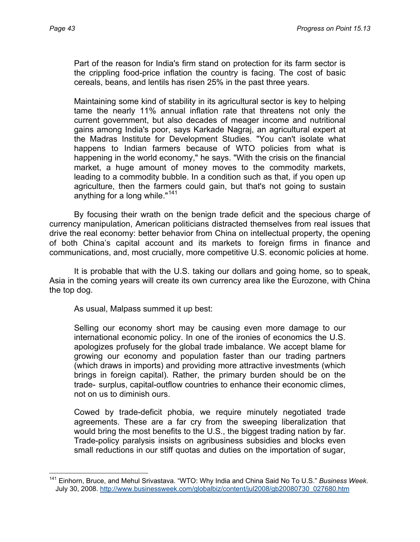$\overline{a}$ 

Part of the reason for India's firm stand on protection for its farm sector is the crippling food-price inflation the country is facing. The cost of basic cereals, beans, and lentils has risen 25% in the past three years.

Maintaining some kind of stability in its agricultural sector is key to helping tame the nearly 11% annual inflation rate that threatens not only the current government, but also decades of meager income and nutritional gains among India's poor, says Karkade Nagraj, an agricultural expert at the Madras Institute for Development Studies. "You can't isolate what happens to Indian farmers because of WTO policies from what is happening in the world economy," he says. "With the crisis on the financial market, a huge amount of money moves to the commodity markets, leading to a commodity bubble. In a condition such as that, if you open up agriculture, then the farmers could gain, but that's not going to sustain anything for a long while."<sup>[141](#page-42-0)</sup>

By focusing their wrath on the benign trade deficit and the specious charge of currency manipulation, American politicians distracted themselves from real issues that drive the real economy: better behavior from China on intellectual property, the opening of both China's capital account and its markets to foreign firms in finance and communications, and, most crucially, more competitive U.S. economic policies at home.

It is probable that with the U.S. taking our dollars and going home, so to speak, Asia in the coming years will create its own currency area like the Eurozone, with China the top dog.

As usual, Malpass summed it up best:

Selling our economy short may be causing even more damage to our international economic policy. In one of the ironies of economics the U.S. apologizes profusely for the global trade imbalance. We accept blame for growing our economy and population faster than our trading partners (which draws in imports) and providing more attractive investments (which brings in foreign capital). Rather, the primary burden should be on the trade- surplus, capital-outflow countries to enhance their economic climes, not on us to diminish ours.

Cowed by trade-deficit phobia, we require minutely negotiated trade agreements. These are a far cry from the sweeping liberalization that would bring the most benefits to the U.S., the biggest trading nation by far. Trade-policy paralysis insists on agribusiness subsidies and blocks even small reductions in our stiff quotas and duties on the importation of sugar,

<span id="page-42-0"></span><sup>141</sup> Einhorn, Bruce, and Mehul Srivastava. "WTO: Why India and China Said No To U.S." *Business Week*. July 30, 2008. [http://www.businessweek.com/globalbiz/content/jul2008/gb20080730\\_027680.htm](http://www.businessweek.com/globalbiz/content/jul2008/gb20080730_027680.htm)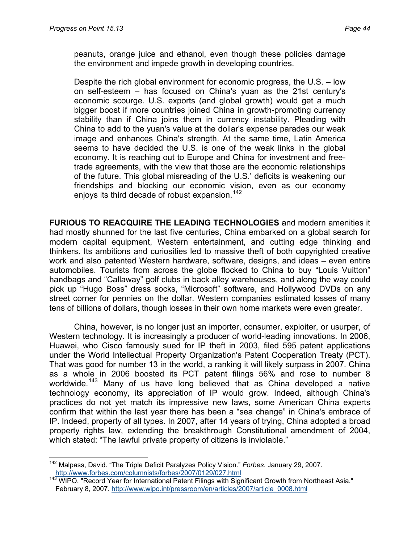$\overline{a}$ 

peanuts, orange juice and ethanol, even though these policies damage the environment and impede growth in developing countries.

Despite the rich global environment for economic progress, the U.S. – low on self-esteem – has focused on China's yuan as the 21st century's economic scourge. U.S. exports (and global growth) would get a much bigger boost if more countries joined China in growth-promoting currency stability than if China joins them in currency instability. Pleading with China to add to the yuan's value at the dollar's expense parades our weak image and enhances China's strength. At the same time, Latin America seems to have decided the U.S. is one of the weak links in the global economy. It is reaching out to Europe and China for investment and freetrade agreements, with the view that those are the economic relationships of the future. This global misreading of the U.S.' deficits is weakening our friendships and blocking our economic vision, even as our economy enjoys its third decade of robust expansion.<sup>[142](#page-43-0)</sup>

**FURIOUS TO REACQUIRE THE LEADING TECHNOLOGIES** and modern amenities it had mostly shunned for the last five centuries, China embarked on a global search for modern capital equipment, Western entertainment, and cutting edge thinking and thinkers. Its ambitions and curiosities led to massive theft of both copyrighted creative work and also patented Western hardware, software, designs, and ideas – even entire automobiles. Tourists from across the globe flocked to China to buy "Louis Vuitton" handbags and "Callaway" golf clubs in back alley warehouses, and along the way could pick up "Hugo Boss" dress socks, "Microsoft" software, and Hollywood DVDs on any street corner for pennies on the dollar. Western companies estimated losses of many tens of billions of dollars, though losses in their own home markets were even greater.

China, however, is no longer just an importer, consumer, exploiter, or usurper, of Western technology. It is increasingly a producer of world-leading innovations. In 2006, Huawei, who Cisco famously sued for IP theft in 2003, filed 595 patent applications under the World Intellectual Property Organization's Patent Cooperation Treaty (PCT). That was good for number 13 in the world, a ranking it will likely surpass in 2007. China as a whole in 2006 boosted its PCT patent filings 56% and rose to number 8 worldwide.<sup>[143](#page-43-1)</sup> Many of us have long believed that as China developed a native technology economy, its appreciation of IP would grow. Indeed, although China's practices do not yet match its impressive new laws, some American China experts confirm that within the last year there has been a "sea change" in China's embrace of IP. Indeed, property of all types. In 2007, after 14 years of trying, China adopted a broad property rights law, extending the breakthrough Constitutional amendment of 2004, which stated: "The lawful private property of citizens is inviolable."

<span id="page-43-0"></span><sup>142</sup> Malpass, David. "The Triple Deficit Paralyzes Policy Vision." *Forbes*. January 29, 2007.

<span id="page-43-1"></span><http://www.forbes.com/columnists/forbes/2007/0129/027.html><br><sup>143</sup> WIPO. "Record Year for International Patent Filings with Significant Growth from Northeast Asia." February 8, 2007. [http://www.wipo.int/pressroom/en/articles/2007/article\\_0008.html](http://www.wipo.int/pressroom/en/articles/2007/article_0008.html)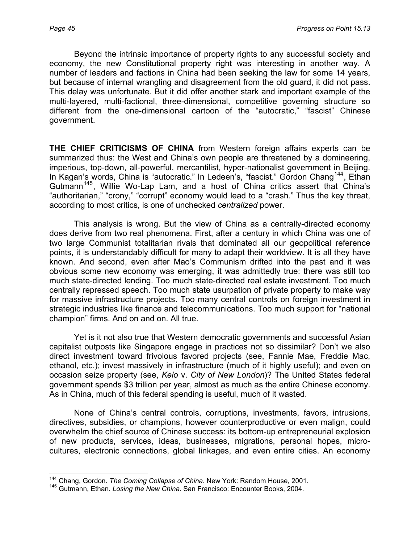Beyond the intrinsic importance of property rights to any successful society and economy, the new Constitutional property right was interesting in another way. A number of leaders and factions in China had been seeking the law for some 14 years, but because of internal wrangling and disagreement from the old guard, it did not pass. This delay was unfortunate. But it did offer another stark and important example of the multi-layered, multi-factional, three-dimensional, competitive governing structure so different from the one-dimensional cartoon of the "autocratic," "fascist" Chinese government.

**THE CHIEF CRITICISMS OF CHINA** from Western foreign affairs experts can be summarized thus: the West and China's own people are threatened by a domineering, imperious, top-down, all-powerful, mercantilist, hyper-nationalist government in Beijing. In Kagan's words, China is "autocratic." In Ledeen's, "fascist." Gordon Chang<sup>[144](#page-44-0)</sup>, Ethan Gutmann<sup>[145](#page-44-1)</sup>, Willie Wo-Lap Lam, and a host of China critics assert that China's "authoritarian," "crony," "corrupt" economy would lead to a "crash." Thus the key threat, according to most critics, is one of unchecked *centralized* power.

This analysis is wrong. But the view of China as a centrally-directed economy does derive from two real phenomena. First, after a century in which China was one of two large Communist totalitarian rivals that dominated all our geopolitical reference points, it is understandably difficult for many to adapt their worldview. It is all they have known. And second, even after Mao's Communism drifted into the past and it was obvious some new economy was emerging, it was admittedly true: there was still too much state-directed lending. Too much state-directed real estate investment. Too much centrally repressed speech. Too much state usurpation of private property to make way for massive infrastructure projects. Too many central controls on foreign investment in strategic industries like finance and telecommunications. Too much support for "national champion" firms. And on and on. All true.

Yet is it not also true that Western democratic governments and successful Asian capitalist outposts like Singapore engage in practices not so dissimilar? Don't we also direct investment toward frivolous favored projects (see, Fannie Mae, Freddie Mac, ethanol, etc.); invest massively in infrastructure (much of it highly useful); and even on occasion seize property (see, *Kelo* v. *City of New London*)? The United States federal government spends \$3 trillion per year, almost as much as the entire Chinese economy. As in China, much of this federal spending is useful, much of it wasted.

None of China's central controls, corruptions, investments, favors, intrusions, directives, subsidies, or champions, however counterproductive or even malign, could overwhelm the chief source of Chinese success: its bottom-up entrepreneurial explosion of new products, services, ideas, businesses, migrations, personal hopes, microcultures, electronic connections, global linkages, and even entire cities. An economy

 $\overline{a}$ <sup>144</sup> Chang, Gordon. *The Coming Collapse of China*. New York: Random House, 2001.

<span id="page-44-1"></span><span id="page-44-0"></span><sup>145</sup> Gutmann, Ethan. *Losing the New China*. San Francisco: Encounter Books, 2004.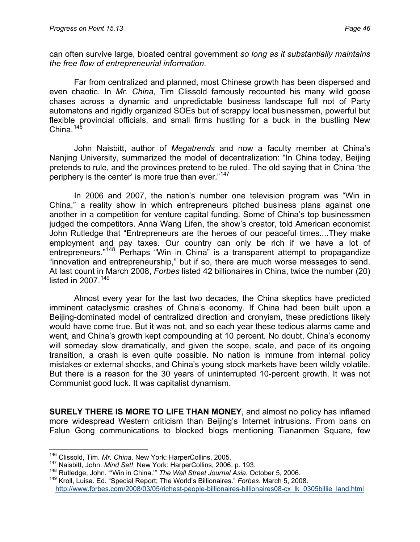can often survive large, bloated central government *so long as it substantially maintains the free flow of entrepreneurial information*.

Far from centralized and planned, most Chinese growth has been dispersed and even chaotic. In *Mr. China*, Tim Clissold famously recounted his many wild goose chases across a dynamic and unpredictable business landscape full not of Party automatons and rigidly organized SOEs but of scrappy local businessmen, powerful but flexible provincial officials, and small firms hustling for a buck in the bustling New China.<sup>[146](#page-45-0)</sup>

John Naisbitt, author of *Megatrends* and now a faculty member at China's Nanjing University, summarized the model of decentralization: "In China today, Beijing pretends to rule, and the provinces pretend to be ruled. The old saying that in China 'the periphery is the center' is more true than ever."<sup>[147](#page-45-1)</sup>

In 2006 and 2007, the nation's number one television program was "Win in China," a reality show in which entrepreneurs pitched business plans against one another in a competition for venture capital funding. Some of China's top businessmen judged the competitors. Anna Wang Lifen, the show's creator, told American economist John Rutledge that "Entrepreneurs are the heroes of our peaceful times....They make employment and pay taxes. Our country can only be rich if we have a lot of entrepreneurs."<sup>[148](#page-45-2)</sup> Perhaps "Win in China" is a transparent attempt to propagandize "innovation and entrepreneurship," but if so, there are much worse messages to send. At last count in March 2008, *Forbes* listed 42 billionaires in China, twice the number (20) listed in  $2007$ .<sup>[149](#page-45-3)</sup>

Almost every year for the last two decades, the China skeptics have predicted imminent cataclysmic crashes of China's economy. If China had been built upon a Beijing-dominated model of centralized direction and cronyism, these predictions likely would have come true. But it was not, and so each year these tedious alarms came and went, and China's growth kept compounding at 10 percent. No doubt, China's economy will someday slow dramatically, and given the scope, scale, and pace of its ongoing transition, a crash is even quite possible. No nation is immune from internal policy mistakes or external shocks, and China's young stock markets have been wildly volatile. But there is a reason for the 30 years of uninterrupted 10-percent growth. It was not Communist good luck. It was capitalist dynamism.

**SURELY THERE IS MORE TO LIFE THAN MONEY**, and almost no policy has inflamed more widespread Western criticism than Beijing's Internet intrusions. From bans on Falun Gong communications to blocked blogs mentioning Tiananmen Square, few

<span id="page-45-0"></span><sup>146</sup> Clissold, Tim. Mr. China. New York: HarperCollins, 2005.

<span id="page-45-1"></span><sup>&</sup>lt;sup>147</sup> Naisbitt, John. *Mind Set!*. New York: HarperCollins, 2006. p. 193.<br><sup>148</sup> Rutledge, John. "'Win in China." The Wall Street Journal Asia. October 5, 2006.

<span id="page-45-3"></span><span id="page-45-2"></span><sup>149</sup> Kroll, Luisa. Ed. "Special Report: The World's Billionaires." *Forbes*. March 5, 2008. [http://www.forbes.com/2008/03/05/richest-people-billionaires-billionaires08-cx\\_lk\\_0305billie\\_land.html](http://www.forbes.com/2008/03/05/richest-people-billionaires-billionaires08-cx_lk_0305billie_land.html)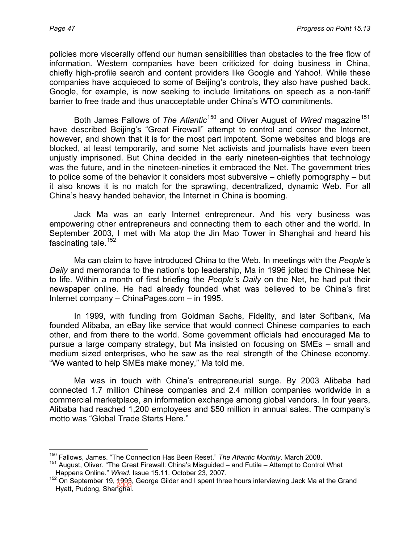policies more viscerally offend our human sensibilities than obstacles to the free flow of information. Western companies have been criticized for doing business in China, chiefly high-profile search and content providers like Google and Yahoo!. While these companies have acquieced to some of Beijing's controls, they also have pushed back. Google, for example, is now seeking to include limitations on speech as a non-tariff barrier to free trade and thus unacceptable under China's WTO commitments.

Both James Fallows of *The Atlantic*<sup>[150](#page-46-0)</sup> and Oliver August of *Wired* magazine<sup>[151](#page-46-1)</sup> have described Beijing's "Great Firewall" attempt to control and censor the Internet, however, and shown that it is for the most part impotent. Some websites and blogs are blocked, at least temporarily, and some Net activists and journalists have even been unjustly imprisoned. But China decided in the early nineteen-eighties that technology was the future, and in the nineteen-nineties it embraced the Net. The government tries to police some of the behavior it considers most subversive – chiefly pornography – but it also knows it is no match for the sprawling, decentralized, dynamic Web. For all China's heavy handed behavior, the Internet in China is booming.

Jack Ma was an early Internet entrepreneur. And his very business was empowering other entrepreneurs and connecting them to each other and the world. In September 2003, I met with Ma atop the Jin Mao Tower in Shanghai and heard his fascinating tale. $152$ 

Ma can claim to have introduced China to the Web. In meetings with the *People's Daily* and memoranda to the nation's top leadership, Ma in 1996 jolted the Chinese Net to life. Within a month of first briefing the *People's Daily* on the Net, he had put their newspaper online. He had already founded what was believed to be China's first Internet company – ChinaPages.com – in 1995.

In 1999, with funding from Goldman Sachs, Fidelity, and later Softbank, Ma founded Alibaba, an eBay like service that would connect Chinese companies to each other, and from there to the world. Some government officials had encouraged Ma to pursue a large company strategy, but Ma insisted on focusing on SMEs – small and medium sized enterprises, who he saw as the real strength of the Chinese economy. "We wanted to help SMEs make money," Ma told me.

Ma was in touch with China's entrepreneurial surge. By 2003 Alibaba had connected 1.7 million Chinese companies and 2.4 million companies worldwide in a commercial marketplace, an information exchange among global vendors. In four years, Alibaba had reached 1,200 employees and \$50 million in annual sales. The company's motto was "Global Trade Starts Here."

 $\overline{a}$ 150 Fallows, James. "The Connection Has Been Reset." *The Atlantic Monthly*. March 2008.

<span id="page-46-1"></span><span id="page-46-0"></span><sup>151</sup> August, Oliver. "The Great Firewall: China's Misguided – and Futile – Attempt to Control What Happens Online." *Wired*. Issue 15.11. October 23, 2007.

<span id="page-46-2"></span><sup>&</sup>lt;sup>152</sup> On September 19, <del>1993</del>, George Gilder and I spent three hours interviewing Jack Ma at the Grand Hygit Budeng, Sharaka Hyatt, Pudong, Shanghai.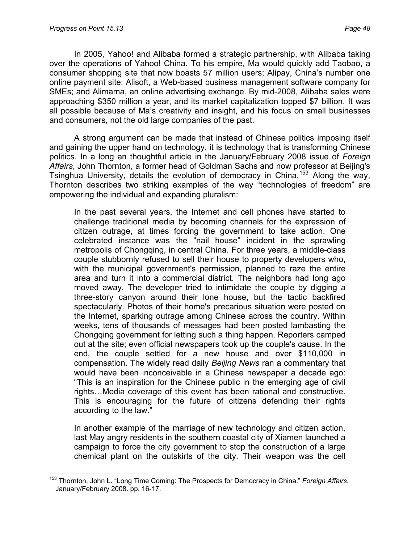In 2005, Yahoo! and Alibaba formed a strategic partnership, with Alibaba taking over the operations of Yahoo! China. To his empire, Ma would quickly add Taobao, a consumer shopping site that now boasts 57 million users; Alipay, China's number one online payment site; Alisoft, a Web-based business management software company for SMEs; and Alimama, an online advertising exchange. By mid-2008, Alibaba sales were approaching \$350 million a year, and its market capitalization topped \$7 billion. It was all possible because of Ma's creativity and insight, and his focus on small businesses and consumers, not the old large companies of the past.

A strong argument can be made that instead of Chinese politics imposing itself and gaining the upper hand on technology, it is technology that is transforming Chinese politics. In a long an thoughtful article in the January/February 2008 issue of *Foreign Affairs*, John Thornton, a former head of Goldman Sachs and now professor at Beijing's Tsinghua University, details the evolution of democracy in China.<sup>[153](#page-47-0)</sup> Along the way, Thornton describes two striking examples of the way "technologies of freedom" are empowering the individual and expanding pluralism:

In the past several years, the Internet and cell phones have started to challenge traditional media by becoming channels for the expression of citizen outrage, at times forcing the government to take action. One celebrated instance was the "nail house" incident in the sprawling metropolis of Chongqing, in central China. For three years, a middle-class couple stubbornly refused to sell their house to property developers who, with the municipal government's permission, planned to raze the entire area and turn it into a commercial district. The neighbors had long ago moved away. The developer tried to intimidate the couple by digging a three-story canyon around their lone house, but the tactic backfired spectacularly. Photos of their home's precarious situation were posted on the Internet, sparking outrage among Chinese across the country. Within weeks, tens of thousands of messages had been posted lambasting the Chongqing government for letting such a thing happen. Reporters camped out at the site; even official newspapers took up the couple's cause. In the end, the couple settled for a new house and over \$110,000 in compensation. The widely read daily *Beijing News* ran a commentary that would have been inconceivable in a Chinese newspaper a decade ago: "This is an inspiration for the Chinese public in the emerging age of civil rights…Media coverage of this event has been rational and constructive. This is encouraging for the future of citizens defending their rights according to the law."

In another example of the marriage of new technology and citizen action, last May angry residents in the southern coastal city of Xiamen launched a campaign to force the city government to stop the construction of a large chemical plant on the outskirts of the city. Their weapon was the cell

<span id="page-47-0"></span> $\overline{a}$ 153 Thornton, John L. "Long Time Coming: The Prospects for Democracy in China." *Foreign Affairs*. January/February 2008. pp. 16-17.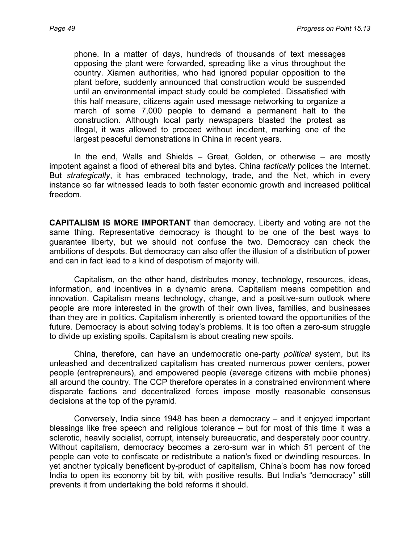phone. In a matter of days, hundreds of thousands of text messages opposing the plant were forwarded, spreading like a virus throughout the country. Xiamen authorities, who had ignored popular opposition to the plant before, suddenly announced that construction would be suspended until an environmental impact study could be completed. Dissatisfied with this half measure, citizens again used message networking to organize a march of some 7,000 people to demand a permanent halt to the construction. Although local party newspapers blasted the protest as illegal, it was allowed to proceed without incident, marking one of the largest peaceful demonstrations in China in recent years.

In the end, Walls and Shields – Great, Golden, or otherwise – are mostly impotent against a flood of ethereal bits and bytes. China *tactically* polices the Internet. But *strategically*, it has embraced technology, trade, and the Net, which in every instance so far witnessed leads to both faster economic growth and increased political freedom.

**CAPITALISM IS MORE IMPORTANT** than democracy. Liberty and voting are not the same thing. Representative democracy is thought to be one of the best ways to guarantee liberty, but we should not confuse the two. Democracy can check the ambitions of despots. But democracy can also offer the illusion of a distribution of power and can in fact lead to a kind of despotism of majority will.

Capitalism, on the other hand, distributes money, technology, resources, ideas, information, and incentives in a dynamic arena. Capitalism means competition and innovation. Capitalism means technology, change, and a positive-sum outlook where people are more interested in the growth of their own lives, families, and businesses than they are in politics. Capitalism inherently is oriented toward the opportunities of the future. Democracy is about solving today's problems. It is too often a zero-sum struggle to divide up existing spoils. Capitalism is about creating new spoils.

China, therefore, can have an undemocratic one-party *political* system, but its unleashed and decentralized capitalism has created numerous power centers, power people (entrepreneurs), and empowered people (average citizens with mobile phones) all around the country. The CCP therefore operates in a constrained environment where disparate factions and decentralized forces impose mostly reasonable consensus decisions at the top of the pyramid.

Conversely, India since 1948 has been a democracy – and it enjoyed important blessings like free speech and religious tolerance – but for most of this time it was a sclerotic, heavily socialist, corrupt, intensely bureaucratic, and desperately poor country. Without capitalism, democracy becomes a zero-sum war in which 51 percent of the people can vote to confiscate or redistribute a nation's fixed or dwindling resources. In yet another typically beneficent by-product of capitalism, China's boom has now forced India to open its economy bit by bit, with positive results. But India's "democracy" still prevents it from undertaking the bold reforms it should.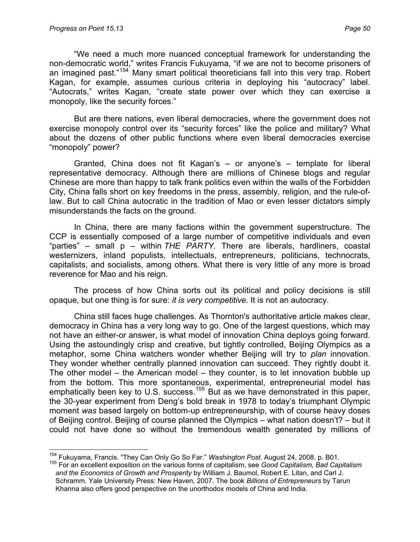"We need a much more nuanced conceptual framework for understanding the non-democratic world," writes Francis Fukuyama, "if we are not to become prisoners of an imagined past."<sup>[154](#page-49-0)</sup> Many smart political theoreticians fall into this very trap. Robert Kagan, for example, assumes curious criteria in deploying his "autocracy" label. "Autocrats," writes Kagan, "create state power over which they can exercise a monopoly, like the security forces."

But are there nations, even liberal democracies, where the government does not exercise monopoly control over its "security forces" like the police and military? What about the dozens of other public functions where even liberal democracies exercise "monopoly" power?

Granted, China does not fit Kagan's – or anyone's – template for liberal representative democracy. Although there are millions of Chinese blogs and regular Chinese are more than happy to talk frank politics even within the walls of the Forbidden City, China falls short on key freedoms in the press, assembly, religion, and the rule-oflaw. But to call China autocratic in the tradition of Mao or even lesser dictators simply misunderstands the facts on the ground.

In China, there are many factions within the government superstructure. The CCP is essentially composed of a large number of competitive individuals and even "parties" – small p – within *THE PARTY*. There are liberals, hardliners, coastal westernizers, inland populists, intellectuals, entrepreneurs, politicians, technocrats, capitalists, and socialists, among others. What there is very little of any more is broad reverence for Mao and his reign.

The process of how China sorts out its political and policy decisions is still opaque, but one thing is for sure: *it is very competitive*. It is not an autocracy.

China still faces huge challenges. As Thornton's authoritative article makes clear, democracy in China has a very long way to go. One of the largest questions, which may not have an either-or answer, is what model of innovation China deploys going forward. Using the astoundingly crisp and creative, but tightly controlled, Beijing Olympics as a metaphor, some China watchers wonder whether Beijing will try to *plan* innovation. They wonder whether centrally planned innovation can succeed. They rightly doubt it. The other model – the American model – they counter, is to let innovation bubble up from the bottom. This more spontaneous, experimental, entrepreneurial model has emphatically been key to U.S. success.<sup>[155](#page-49-1)</sup> But as we have demonstrated in this paper, the 30-year experiment from Deng's bold break in 1978 to today's triumphant Olympic moment *was* based largely on bottom-up entrepreneurship, with of course heavy doses of Beijing control. Beijing of course planned the Olympics – what nation doesn't? – but it could not have done so without the tremendous wealth generated by millions of

<span id="page-49-0"></span><sup>&</sup>lt;sup>154</sup> Fukuyama, Francis. "They Can Only Go So Far." Washington Post. August 24, 2008. p. B01.

<span id="page-49-1"></span><sup>&</sup>lt;sup>155</sup> For an excellent exposition on the various forms of capitalism, see Good Capitalism, Bad Capitalism *and the Economics of Growth and Prosperity* by William J. Baumol, Robert E. Litan, and Carl J. Schramm. Yale University Press: New Haven, 2007. The book *Billions of Entrepreneurs* by Tarun Khanna also offers good perspective on the unorthodox models of China and India.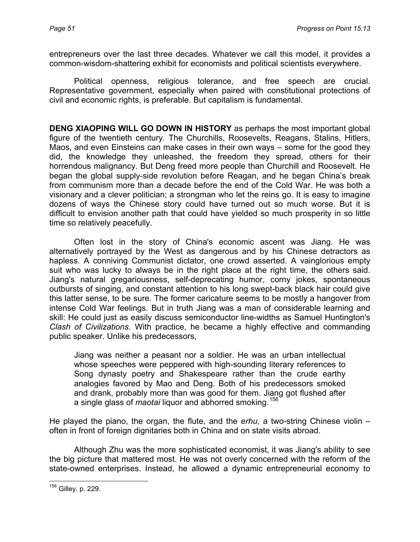entrepreneurs over the last three decades. Whatever we call this model, it provides a common-wisdom-shattering exhibit for economists and political scientists everywhere.

Political openness, religious tolerance, and free speech are crucial. Representative government, especially when paired with constitutional protections of civil and economic rights, is preferable. But capitalism is fundamental.

**DENG XIAOPING WILL GO DOWN IN HISTORY** as perhaps the most important global figure of the twentieth century. The Churchills, Roosevelts, Reagans, Stalins, Hitlers, Maos, and even Einsteins can make cases in their own ways – some for the good they did, the knowledge they unleashed, the freedom they spread, others for their horrendous malignancy. But Deng freed more people than Churchill and Roosevelt. He began the global supply-side revolution before Reagan, and he began China's break from communism more than a decade before the end of the Cold War. He was both a visionary and a clever politician; a strongman who let the reins go. It is easy to imagine dozens of ways the Chinese story could have turned out so much worse. But it is difficult to envision another path that could have yielded so much prosperity in so little time so relatively peacefully.

Often lost in the story of China's economic ascent was Jiang. He was alternatively portrayed by the West as dangerous and by his Chinese detractors as hapless. A conniving Communist dictator, one crowd asserted. A vainglorious empty suit who was lucky to always be in the right place at the right time, the others said. Jiang's natural gregariousness, self-deprecating humor, corny jokes, spontaneous outbursts of singing, and constant attention to his long swept-back black hair could give this latter sense, to be sure. The former caricature seems to be mostly a hangover from intense Cold War feelings. But in truth Jiang was a man of considerable learning and skill: He could just as easily discuss semiconductor line-widths as Samuel Huntington's *Clash of Civilizations*. With practice, he became a highly effective and commanding public speaker. Unlike his predecessors,

Jiang was neither a peasant nor a soldier. He was an urban intellectual whose speeches were peppered with high-sounding literary references to Song dynasty poetry and Shakespeare rather than the crude earthy analogies favored by Mao and Deng. Both of his predecessors smoked and drank, probably more than was good for them. Jiang got flushed after a single glass of *maotai* liquor and abhorred smoking.[156](#page-50-0)

He played the piano, the organ, the flute, and the *erhu*, a two-string Chinese violin – often in front of foreign dignitaries both in China and on state visits abroad.

Although Zhu was the more sophisticated economist, it was Jiang's ability to see the big picture that mattered most. He was not overly concerned with the reform of the state-owned enterprises. Instead, he allowed a dynamic entrepreneurial economy to

<span id="page-50-0"></span> $\overline{a}$ <sup>156</sup> Gilley. p. 229.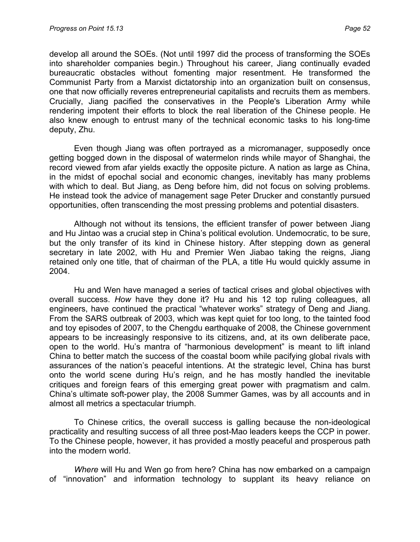develop all around the SOEs. (Not until 1997 did the process of transforming the SOEs into shareholder companies begin.) Throughout his career, Jiang continually evaded bureaucratic obstacles without fomenting major resentment. He transformed the Communist Party from a Marxist dictatorship into an organization built on consensus, one that now officially reveres entrepreneurial capitalists and recruits them as members. Crucially, Jiang pacified the conservatives in the People's Liberation Army while rendering impotent their efforts to block the real liberation of the Chinese people. He also knew enough to entrust many of the technical economic tasks to his long-time deputy, Zhu.

Even though Jiang was often portrayed as a micromanager, supposedly once getting bogged down in the disposal of watermelon rinds while mayor of Shanghai, the record viewed from afar yields exactly the opposite picture. A nation as large as China, in the midst of epochal social and economic changes, inevitably has many problems with which to deal. But Jiang, as Deng before him, did not focus on solving problems. He instead took the advice of management sage Peter Drucker and constantly pursued opportunities, often transcending the most pressing problems and potential disasters.

Although not without its tensions, the efficient transfer of power between Jiang and Hu Jintao was a crucial step in China's political evolution. Undemocratic, to be sure, but the only transfer of its kind in Chinese history. After stepping down as general secretary in late 2002, with Hu and Premier Wen Jiabao taking the reigns, Jiang retained only one title, that of chairman of the PLA, a title Hu would quickly assume in 2004.

Hu and Wen have managed a series of tactical crises and global objectives with overall success. *How* have they done it? Hu and his 12 top ruling colleagues, all engineers, have continued the practical "whatever works" strategy of Deng and Jiang. From the SARS outbreak of 2003, which was kept quiet for too long, to the tainted food and toy episodes of 2007, to the Chengdu earthquake of 2008, the Chinese government appears to be increasingly responsive to its citizens, and, at its own deliberate pace, open to the world. Hu's mantra of "harmonious development" is meant to lift inland China to better match the success of the coastal boom while pacifying global rivals with assurances of the nation's peaceful intentions. At the strategic level, China has burst onto the world scene during Hu's reign, and he has mostly handled the inevitable critiques and foreign fears of this emerging great power with pragmatism and calm. China's ultimate soft-power play, the 2008 Summer Games, was by all accounts and in almost all metrics a spectacular triumph.

To Chinese critics, the overall success is galling because the non-ideological practicality and resulting success of all three post-Mao leaders keeps the CCP in power. To the Chinese people, however, it has provided a mostly peaceful and prosperous path into the modern world.

*Where* will Hu and Wen go from here? China has now embarked on a campaign of "innovation" and information technology to supplant its heavy reliance on